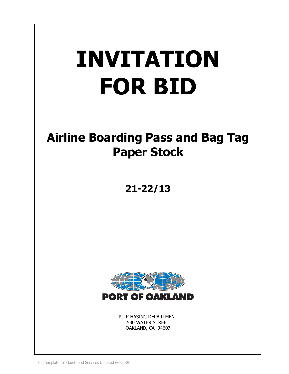# **INVITATION FOR BID**

# **Airline Boarding Pass and Bag Tag Paper Stock**

# **21-22/13**



PURCHASING DEPARTMENT 530 WATER STREET OAKLAND, CA 94607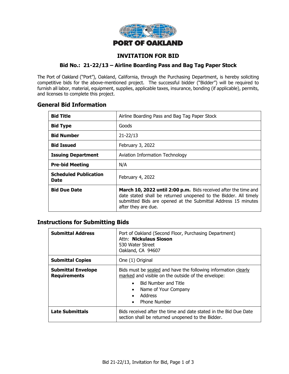

# **INVITATION FOR BID**

#### **Bid No.: 21-22/13 – Airline Boarding Pass and Bag Tag Paper Stock**

The Port of Oakland ("Port"), Oakland, California, through the Purchasing Department, is hereby soliciting competitive bids for the above-mentioned project. The successful bidder ("Bidder") will be required to furnish all labor, material, equipment, supplies, applicable taxes, insurance, bonding (if applicable), permits, and licenses to complete this project.

# **General Bid Information**

| <b>Bid Title</b>                     | Airline Boarding Pass and Bag Tag Paper Stock                                                                                                                                                                               |  |
|--------------------------------------|-----------------------------------------------------------------------------------------------------------------------------------------------------------------------------------------------------------------------------|--|
| <b>Bid Type</b>                      | Goods                                                                                                                                                                                                                       |  |
| <b>Bid Number</b>                    | $21 - 22/13$                                                                                                                                                                                                                |  |
| <b>Bid Issued</b>                    | February 3, 2022                                                                                                                                                                                                            |  |
| <b>Issuing Department</b>            | Aviation Information Technology                                                                                                                                                                                             |  |
| <b>Pre-bid Meeting</b>               | N/A                                                                                                                                                                                                                         |  |
| <b>Scheduled Publication</b><br>Date | February 4, 2022                                                                                                                                                                                                            |  |
| <b>Bid Due Date</b>                  | March 10, 2022 until 2:00 p.m. Bids received after the time and<br>date stated shall be returned unopened to the Bidder. All timely<br>submitted Bids are opened at the Submittal Address 15 minutes<br>after they are due. |  |

# **Instructions for Submitting Bids**

| <b>Submittal Address</b>                         | Port of Oakland (Second Floor, Purchasing Department)<br>Attn: Nickulaus Sioson<br>530 Water Street<br>Oakland, CA 94607                                                                                                                        |  |
|--------------------------------------------------|-------------------------------------------------------------------------------------------------------------------------------------------------------------------------------------------------------------------------------------------------|--|
| <b>Submittal Copies</b>                          | One (1) Original                                                                                                                                                                                                                                |  |
| <b>Submittal Envelope</b><br><b>Requirements</b> | Bids must be sealed and have the following information clearly<br>marked and visible on the outside of the envelope:<br>• Bid Number and Title<br>Name of Your Company<br>$\bullet$<br>Address<br>$\bullet$<br><b>Phone Number</b><br>$\bullet$ |  |
| <b>Late Submittals</b>                           | Bids received after the time and date stated in the Bid Due Date<br>section shall be returned unopened to the Bidder.                                                                                                                           |  |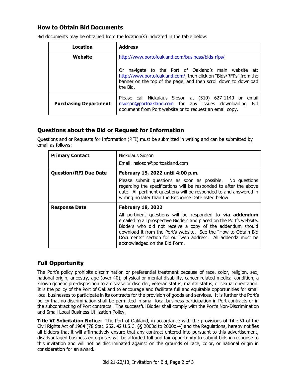# **How to Obtain Bid Documents**

| Location                     | <b>Address</b>                                                                                                                                                                                               |  |
|------------------------------|--------------------------------------------------------------------------------------------------------------------------------------------------------------------------------------------------------------|--|
| Website                      | http://www.portofoakland.com/business/bids-rfps/                                                                                                                                                             |  |
|                              | navigate to the Port of Oakland's main website at:<br>0r<br>http://www.portofoakland.com/, then click on "Bids/RFPs" from the<br>banner on the top of the page, and then scroll down to download<br>the Bid. |  |
| <b>Purchasing Department</b> | Please call Nickulaus Sioson at (510) 627-1140 or email<br>nsioson@portoakland.com for any issues downloading<br>– Bid<br>document from Port website or to request an email copy.                            |  |

Bid documents may be obtained from the location(s) indicated in the table below:

# **Questions about the Bid or Request for Information**

Questions and or Requests for Information (RFI) must be submitted in writing and can be submitted by email as follows:

| <b>Primary Contact</b>       | Nickulaus Sioson                                                                                                                                                                                                                                                                                                                                                         |  |
|------------------------------|--------------------------------------------------------------------------------------------------------------------------------------------------------------------------------------------------------------------------------------------------------------------------------------------------------------------------------------------------------------------------|--|
|                              | Email: nsioson@portoakland.com                                                                                                                                                                                                                                                                                                                                           |  |
| <b>Question/RFI Due Date</b> | February 15, 2022 until 4:00 p.m.                                                                                                                                                                                                                                                                                                                                        |  |
|                              | Please submit questions as soon as possible. No questions<br>regarding the specifications will be responded to after the above<br>date. All pertinent questions will be responded to and answered in<br>writing no later than the Response Date listed below.                                                                                                            |  |
| <b>Response Date</b>         | <b>February 18, 2022</b>                                                                                                                                                                                                                                                                                                                                                 |  |
|                              | All pertinent questions will be responded to <b>via addendum</b><br>emailed to all prospective Bidders and placed on the Port's website.<br>Bidders who did not receive a copy of the addendum should<br>download it from the Port's website. See the "How to Obtain Bid<br>Documents" section for our web address. All addenda must be<br>acknowledged on the Bid Form. |  |

# **Full Opportunity**

The Port's policy prohibits discrimination or preferential treatment because of race, color, religion, sex, national origin, ancestry, age (over 40), physical or mental disability, cancer-related medical condition, a known genetic pre-disposition to a disease or disorder, veteran status, marital status, or sexual orientation. It is the policy of the Port of Oakland to encourage and facilitate full and equitable opportunities for small local businesses to participate in its contracts for the provision of goods and services. It is further the Port's policy that no discrimination shall be permitted in small local business participation in Port contracts or in the subcontracting of Port contracts. The successful Bidder shall comply with the Port's Non-Discrimination and Small Local Business Utilization Policy.

**Title VI Solicitation Notice:** The Port of Oakland, in accordance with the provisions of Title VI of the Civil Rights Act of 1964 (78 Stat. 252, 42 U.S.C. §§ 2000d to 2000d-4) and the Regulations, hereby notifies all bidders that it will affirmatively ensure that any contract entered into pursuant to this advertisement, disadvantaged business enterprises will be afforded full and fair opportunity to submit bids in response to this invitation and will not be discriminated against on the grounds of race, color, or national origin in consideration for an award.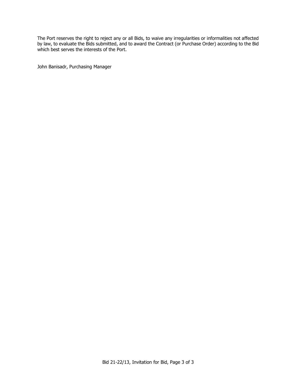The Port reserves the right to reject any or all Bids, to waive any irregularities or informalities not affected by law, to evaluate the Bids submitted, and to award the Contract (or Purchase Order) according to the Bid which best serves the interests of the Port.

John Banisadr, Purchasing Manager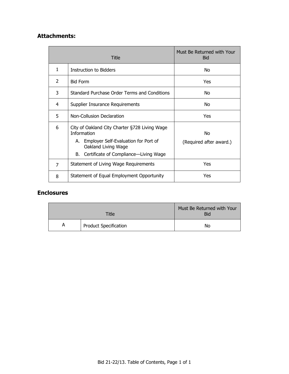# **Attachments:**

| Title          |                                                                                                                                                                                   | Must Be Returned with Your<br><b>Bid</b> |
|----------------|-----------------------------------------------------------------------------------------------------------------------------------------------------------------------------------|------------------------------------------|
| 1              | <b>Instruction to Bidders</b>                                                                                                                                                     | No                                       |
| $\overline{2}$ | <b>Bid Form</b>                                                                                                                                                                   | <b>Yes</b>                               |
| 3              | Standard Purchase Order Terms and Conditions                                                                                                                                      | No.                                      |
| 4              | Supplier Insurance Requirements                                                                                                                                                   | No                                       |
| 5              | Non-Collusion Declaration                                                                                                                                                         | Yes                                      |
| 6              | City of Oakland City Charter §728 Living Wage<br><b>Information</b><br>A. Employer Self-Evaluation for Port of<br>Oakland Living Wage<br>B. Certificate of Compliance-Living Wage | No<br>(Required after award.)            |
| 7              | Statement of Living Wage Requirements                                                                                                                                             | Yes                                      |
| 8              | Statement of Equal Employment Opportunity                                                                                                                                         | Yes                                      |

# **Enclosures**

| <b>Title</b> |                              | Must Be Returned with Your<br><b>Bid</b> |
|--------------|------------------------------|------------------------------------------|
| A            | <b>Product Specification</b> | No                                       |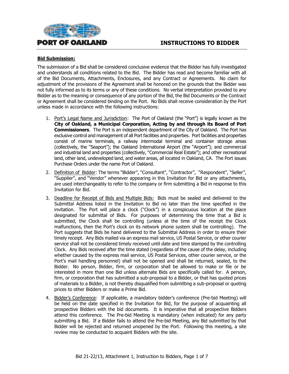



#### **Bid Submission:**

The submission of a Bid shall be considered conclusive evidence that the Bidder has fully investigated and understands all conditions related to the Bid. The Bidder has read and become familiar with all of the Bid Documents, Attachments, Enclosures, and any Contract or Agreements. No claim for adjustment of the provisions of the Agreement shall be honored on the grounds that the Bidder was not fully informed as to its terms or any of these conditions. No verbal interpretation provided to any Bidder as to the meaning or consequence of any portion of the Bid, the Bid Documents or the Contract or Agreement shall be considered binding on the Port. No Bids shall receive consideration by the Port unless made in accordance with the following instructions:

- 1. Port's Legal Name and Jurisdiction: The Port of Oakland (the "Port") is legally known as the **City of Oakland, a Municipal Corporation, Acting by and through its Board of Port Commissioners**. The Port is an independent department of the City of Oakland. The Port has exclusive control and management of all Port facilities and properties. Port facilities and properties consist of marine terminals, a railway intermodal terminal and container storage areas (collectively, the "Seaport"); the Oakland International Airport (the "Airport"); and commercial and industrial land and properties (collectively, "Commercial Real Estate"); and other recreational land, other land, undeveloped land, and water areas, all located in Oakland, CA. The Port issues Purchase Orders under the name Port of Oakland.
- 2. Definition of Bidder: The terms "Bidder", "Consultant", "Contractor", "Respondent", "Seller", "Supplier", and "Vendor" whenever appearing in this Invitation for Bid or any attachments, are used interchangeably to refer to the company or firm submitting a Bid in response to this Invitation for Bid.
- 3. Deadline for Receipt of Bids and Multiple Bids: Bids must be sealed and delivered to the Submittal Address listed in the Invitation to Bid no later than the time specified in the invitation. The Port will place a clock ("Clock") in a conspicuous location at the place designated for submittal of Bids. For purposes of determining the time that a Bid is submitted, the Clock shall be controlling (unless at the time of the receipt the Clock malfunctions, then the Port's clock on its network phone system shall be controlling). The Port suggests that Bids be hand delivered to the Submittal Address in order to ensure their timely receipt. Any Bids mailed via an express mail service, US Postal Service, or other courier service shall not be considered timely received until date and time stamped by the controlling Clock. Any Bids received after the time stated (regardless of the cause of the delay, including whether caused by the express mail service, US Postal Services, other courier service, or the Port's mail handling personnel) shall not be opened and shall be returned, sealed, to the Bidder. No person, Bidder, firm, or corporation shall be allowed to make or file or be interested in more than one Bid unless alternate Bids are specifically called for. A person, firm, or corporation that has submitted a sub-proposal to a Bidder, or that has quoted prices of materials to a Bidder, is not thereby disqualified from submitting a sub-proposal or quoting prices to other Bidders or make a Prime Bid.
- 4. Bidder's Conference: If applicable, a mandatory bidder's conference (Pre-bid Meeting) will be held on the date specified in the Invitation for Bid, for the purpose of acquainting all prospective Bidders with the bid documents. It is imperative that all prospective Bidders attend this conference. The Pre-bid Meeting is mandatory (when indicated) for any party submitting a Bid. If a Bidder fails to attend the Pre-bid Meeting, any Bid submitted by that Bidder will be rejected and returned unopened by the Port. Following this meeting, a site review may be conducted to acquaint Bidders with the site.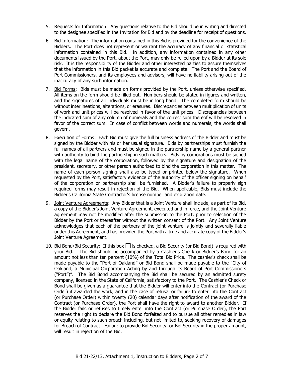- 5. Requests for Information: Any questions relative to the Bid should be in writing and directed to the designee specified in the Invitation for Bid and by the deadline for receipt of questions.
- 6. Bid Information: The information contained in this Bid is provided for the convenience of the Bidders. The Port does not represent or warrant the accuracy of any financial or statistical information contained in this Bid. In addition, any information contained in any other documents issued by the Port, about the Port, may only be relied upon by a Bidder at its sole risk. It is the responsibility of the Bidder and other interested parties to assure themselves that the information in this Bid packet is accurate and complete. The Port and the Board of Port Commissioners, and its employees and advisors, will have no liability arising out of the inaccuracy of any such information.
- 7. Bid Forms: Bids must be made on forms provided by the Port, unless otherwise specified. All items on the form should be filled out. Numbers should be stated in figures and written, and the signatures of all individuals must be in long hand. The completed form should be without interlineations, alterations, or erasures. Discrepancies between multiplication of units of work and unit prices will be resolved in favor of the unit prices. Discrepancies between the indicated sum of any column of numerals and the correct sum thereof will be resolved in favor of the correct sum. In case of conflict between words and numerals, the words shall govern.
- 8. Execution of Forms: Each Bid must give the full business address of the Bidder and must be signed by the Bidder with his or her usual signature. Bids by partnerships must furnish the full names of all partners and must be signed in the partnership name by a general partner with authority to bind the partnership in such matters. Bids by corporations must be signed with the legal name of the corporation, followed by the signature and designation of the president, secretary, or other person authorized to bind the corporation in this matter. The name of each person signing shall also be typed or printed below the signature. When requested by the Port, satisfactory evidence of the authority of the officer signing on behalf of the corporation or partnership shall be furnished. A Bidder's failure to properly sign required forms may result in rejection of the Bid. When applicable, Bids must include the Bidder's California State Contractor's license number and expiration date.
- 9. Joint Venture Agreements: Any Bidder that is a Joint Venture shall include, as part of its Bid, a copy of the Bidder's Joint Venture Agreement, executed and in force, and the Joint Venture agreement may not be modified after the submission to the Port, prior to selection of the Bidder by the Port or thereafter without the written consent of the Port. Any Joint Venture acknowledges that each of the partners of the joint venture is jointly and severally liable under this Agreement, and has provided the Port with a true and accurate copy of the Bidder's Joint Venture Agreement.
- 10. Bid Bond/Bid Security: If this box  $\Box$  is checked, a Bid Security (or Bid Bond) is required with your Bid. The Bid should be accompanied by a Cashier's Check or Bidder's Bond for an amount not less than ten percent (10%) of the Total Bid Price. The cashier's check shall be made payable to the "Port of Oakland" or Bid Bond shall be made payable to the "City of Oakland, a Municipal Corporation Acting by and through its Board of Port Commissioners ("Port")". The Bid Bond accompanying the Bid shall be secured by an admitted surety company, licensed in the State of California, satisfactory to the Port. The Cashier's Check or Bond shall be given as a guarantee that the Bidder will enter into the Contract (or Purchase Order) if awarded the work, and in the case of refusal or failure to enter into the Contract (or Purchase Order) within twenty (20) calendar days after notification of the award of the Contract (or Purchase Order), the Port shall have the right to award to another Bidder. If the Bidder fails or refuses to timely enter into the Contract (or Purchase Order), the Port reserves the right to declare the Bid Bond forfeited and to pursue all other remedies in law or equity relating to such breach including, but not limited to, seeking recovery of damages for Breach of Contract. Failure to provide Bid Security, or Bid Security in the proper amount, will result in rejection of the Bid.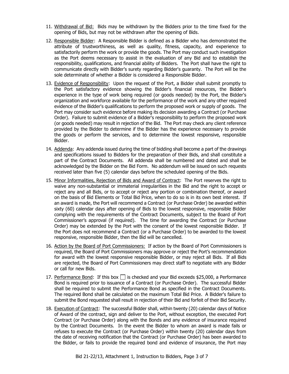- 11. Withdrawal of Bid: Bids may be withdrawn by the Bidders prior to the time fixed for the opening of Bids, but may not be withdrawn after the opening of Bids.
- 12. Responsible Bidder: A Responsible Bidder is defined as a Bidder who has demonstrated the attribute of trustworthiness, as well as quality, fitness, capacity, and experience to satisfactorily perform the work or provide the goods. The Port may conduct such investigation as the Port deems necessary to assist in the evaluation of any Bid and to establish the responsibility, qualifications, and financial ability of Bidders. The Port shall have the right to communicate directly with Bidder's surety regarding Bidder's guaranty. The Port will be the sole determinate of whether a Bidder is considered a Responsible Bidder.
- 13. Evidence of Responsibility: Upon the request of the Port, a Bidder shall submit promptly to the Port satisfactory evidence showing the Bidder's financial resources, the Bidder's experience in the type of work being required (or goods needed) by the Port, the Bidder's organization and workforce available for the performance of the work and any other required evidence of the Bidder's qualifications to perform the proposed work or supply of goods. The Port may consider such evidence before making its decision awarding a Contract (or Purchase Order). Failure to submit evidence of a Bidder's responsibility to perform the proposed work (or goods needed) may result in rejection of the Bid. The Port may check any client reference provided by the Bidder to determine if the Bidder has the experience necessary to provide the goods or perform the services, and to determine the lowest responsive, responsible Bidder.
- 14. Addenda: Any addenda issued during the time of bidding shall become a part of the drawings and specifications issued to Bidders for the preparation of their Bids, and shall constitute a part of the Contract Documents. All addenda shall be numbered and dated and shall be acknowledged by the Bidder on the Bid Form. No addendum will be issued on such requests received later than five (5) calendar days before the scheduled opening of the Bids.
- 15. Minor Informalities, Rejection of Bids and Award of Contract: The Port reserves the right to waive any non-substantial or immaterial irregularities in the Bid and the right to accept or reject any and all Bids, or to accept or reject any portion or combination thereof, or award on the basis of Bid Elements or Total Bid Price, when to do so is in its own best interest. If an award is made, the Port will recommend a Contract (or Purchase Order) be awarded within sixty (60) calendar days after opening of Bids to the lowest responsive, responsible Bidder complying with the requirements of the Contract Documents, subject to the Board of Port Commissioner's approval (if required). The time for awarding the Contract (or Purchase Order) may be extended by the Port with the consent of the lowest responsible Bidder. If the Port does not recommend a Contract (or a Purchase Order) to be awarded to the lowest responsive, responsible Bidder, then the Bid will be cancelled.
- 16. Action by the Board of Port Commissioners: If action by the Board of Port Commissioners is required, the Board of Port Commissioners may approve or reject the Port's recommendation for award with the lowest responsive responsible Bidder, or may reject all Bids. If all Bids are rejected, the Board of Port Commissioners may direct staff to negotiate with any Bidder or call for new Bids.
- 17. Performance Bond: If this box  $\Box$  is checked and your Bid exceeds \$25,000, a Performance Bond is required prior to issuance of a Contract (or Purchase Order). The successful Bidder shall be required to submit the Performance Bond as specified in the Contract Documents. The required Bond shall be calculated on the maximum Total Bid Price. A Bidder's failure to submit the Bond requested shall result in rejection of their Bid and forfeit of their Bid Security.
- 18. Execution of Contract: The successful Bidder shall, within twenty (20) calendar days of Notice of Award of the contract, sign and deliver to the Port, without exception, the executed Port Contract (or Purchase Order) along with the Bonds and any evidence of insurance required by the Contract Documents. In the event the Bidder to whom an award is made fails or refuses to execute the Contract (or Purchase Order) within twenty (20) calendar days from the date of receiving notification that the Contract (or Purchase Order) has been awarded to the Bidder, or fails to provide the required bond and evidence of insurance, the Port may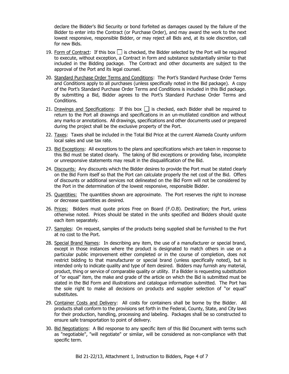declare the Bidder's Bid Security or bond forfeited as damages caused by the failure of the Bidder to enter into the Contract (or Purchase Order), and may award the work to the next lowest responsive, responsible Bidder, or may reject all Bids and, at its sole discretion, call for new Bids.

- 19. Form of Contract: If this box  $\Box$  is checked, the Bidder selected by the Port will be required to execute, without exception, a Contract in form and substance substantially similar to that included in the Bidding package. The Contract and other documents are subject to the approval of the Port and its legal counsel.
- 20. Standard Purchase Order Terms and Conditions: The Port's Standard Purchase Order Terms and Conditions apply to all purchases (unless specifically noted in the Bid package). A copy of the Port's Standard Purchase Order Terms and Conditions is included in this Bid package. By submitting a Bid, Bidder agrees to the Port's Standard Purchase Order Terms and Conditions.
- 21. Drawings and Specifications: If this box  $\Box$  is checked, each Bidder shall be required to return to the Port all drawings and specifications in an un-mutilated condition and without any marks or annotations. All drawings, specifications and other documents used or prepared during the project shall be the exclusive property of the Port.
- 22. Taxes: Taxes shall be included in the Total Bid Price at the current Alameda County uniform local sales and use tax rate.
- 23. Bid Exceptions: All exceptions to the plans and specifications which are taken in response to this Bid must be stated clearly. The taking of Bid exceptions or providing false, incomplete or unresponsive statements may result in the disqualification of the Bid.
- 24. Discounts: Any discounts which the Bidder desires to provide the Port must be stated clearly on the Bid Form itself so that the Port can calculate properly the net cost of the Bid. Offers of discounts or additional services not delineated on the Bid Form will not be considered by the Port in the determination of the lowest responsive, responsible Bidder.
- 25. Quantities: The quantities shown are approximate. The Port reserves the right to increase or decrease quantities as desired.
- 26. Prices: Bidders must quote prices Free on Board (F.O.B). Destination; the Port, unless otherwise noted. Prices should be stated in the units specified and Bidders should quote each item separately.
- 27. Samples: On request, samples of the products being supplied shall be furnished to the Port at no cost to the Port.
- 28. Special Brand Names: In describing any item, the use of a manufacturer or special brand, except in those instances where the product is designated to match others in use on a particular public improvement either completed or in the course of completion, does not restrict bidding to that manufacturer or special brand (unless specifically noted), but is intended only to indicate quality and type of item desired. Bidders may furnish any material, product, thing or service of comparable quality or utility. If a Bidder is requesting substitution of "or equal" item, the make and grade of the article on which the Bid is submitted must be stated in the Bid Form and illustrations and catalogue information submitted. The Port has the sole right to make all decisions on products and supplier selection of "or equal" substitutes.
- 29. Container Costs and Delivery: All costs for containers shall be borne by the Bidder. All products shall conform to the provisions set forth in the Federal, County, State, and City laws for their production, handling, processing and labeling. Packages shall be so constructed to ensure safe transportation to point of delivery.
- 30. Bid Negotiations: A Bid response to any specific item of this Bid Document with terms such as "negotiable", "will negotiate" or similar, will be considered as non-compliance with that specific term.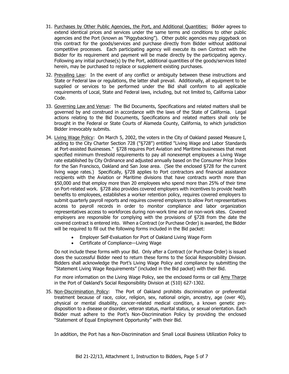- 31. Purchases by Other Public Agencies, the Port, and Additional Quantities: Bidder agrees to extend identical prices and services under the same terms and conditions to other public agencies and the Port (known as "Piggybacking"). Other public agencies may piggyback on this contract for the goods/services and purchase directly from Bidder without additional competitive processes. Each participating agency will execute its own Contract with the Bidder for its requirement and payment will be made directly by the participating agency. Following any initial purchase(s) by the Port, additional quantities of the goods/services listed herein, may be purchased to replace or supplement existing purchases.
- 32. Prevailing Law: In the event of any conflict or ambiguity between these instructions and State or Federal law or regulations, the latter shall prevail. Additionally, all equipment to be supplied or services to be performed under the Bid shall conform to all applicable requirements of Local, State and Federal laws, including, but not limited to, California Labor Code.
- 33. Governing Law and Venue: The Bid Documents, Specifications and related matters shall be governed by and construed in accordance with the laws of the State of California. Legal actions relating to the Bid Documents, Specifications and related matters shall only be brought in the Federal or State Courts of Alameda County, California, to which jurisdiction Bidder irrevocably submits.
- 34. Living Wage Policy: On March 5, 2002, the voters in the City of Oakland passed Measure I, adding to the City Charter Section 728 ("§728") entitled "Living Wage and Labor Standards at Port-assisted Businesses." §728 requires Port Aviation and Maritime businesses that meet specified minimum threshold requirements to pay all nonexempt employees a Living Wage rate established by City Ordinance and adjusted annually based on the Consumer Price Index for the San Francisco, Oakland and San Jose area. (See the enclosed §728 for the current living wage rates.) Specifically, §728 applies to Port contractors and financial assistance recipients with the Aviation or Maritime divisions that have contracts worth more than \$50,000 and that employ more than 20 employees who spend more than 25% of their time on Port-related work. §728 also provides covered employers with incentives to provide health benefits to employees, establishes a worker retention policy, requires covered employers to submit quarterly payroll reports and requires covered employers to allow Port representatives access to payroll records in order to monitor compliance and labor organization representatives access to workforces during non-work time and on non-work sites. Covered employers are responsible for complying with the provisions of §728 from the date the covered contract is entered into. When a Contract (or Purchase Order) is awarded, the Bidder will be required to fill out the following forms included in the Bid packet:
	- Employer Self-Evaluation for Port of Oakland Living Wage Form
	- Certificate of Compliance—Living Wage

Do not include these forms with your Bid. Only after a Contract (or Purchase Order) is issued does the successful Bidder need to return these forms to the Social Responsibility Division. Bidders shall acknowledge the Port's Living Wage Policy and compliance by submitting the "Statement Living Wage Requirements" (included in the Bid packet) with their Bid.

For more information on the Living Wage Policy, see the enclosed forms or call Amy Tharpe in the Port of Oakland's Social Responsibility Division at (510) 627-1302.

35. Non-Discrimination Policy: The Port of Oakland prohibits discrimination or preferential treatment because of race, color, religion, sex, national origin, ancestry, age (over 40), physical or mental disability, cancer-related medical condition, a known genetic predisposition to a disease or disorder, veteran status, marital status, or sexual orientation. Each Bidder must adhere to the Port's Non-Discrimination Policy by providing the enclosed "Statement of Equal Employment Opportunity" with their Bid.

In addition, the Port has a Non-Discrimination and Small Local Business Utilization Policy to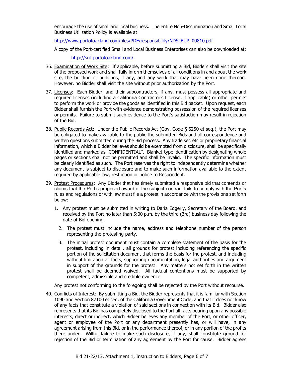encourage the use of small and local business. The entire Non-Discrimination and Small Local Business Utilization Policy is available at:

[http://www.portofoakland.com/files/PDF/responsibility/NDSLBUP\\_00810.pdf](http://www.portofoakland.com/files/PDF/responsibility/NDSLBUP_00810.pdf)

A copy of the Port-certified Small and Local Business Enterprises can also be downloaded at:

[http://srd.portofoakland.com/.](http://srd.portofoakland.com/)

- 36. Examination of Work Site: If applicable, before submitting a Bid, Bidders shall visit the site of the proposed work and shall fully inform themselves of all conditions in and about the work site, the building or buildings, if any, and any work that may have been done thereon. However, no Bidder shall visit the site without prior authorization by the Port.
- 37. Licenses: Each Bidder, and their subcontractors, if any, must possess all appropriate and required licenses (including a California Contractor's License, if applicable) or other permits to perform the work or provide the goods as identified in this Bid packet. Upon request, each Bidder shall furnish the Port with evidence demonstrating possession of the required licenses or permits. Failure to submit such evidence to the Port's satisfaction may result in rejection of the Bid.
- 38. Public Records Act: Under the Public Records Act (Gov. Code § 6250 et seq.), the Port may be obligated to make available to the public the submitted Bids and all correspondence and written questions submitted during the Bid process. Any trade secrets or proprietary financial information, which a Bidder believes should be exempted from disclosure, shall be specifically identified and marked as "CONFIDENTIAL". Blanket-type identification by designating whole pages or sections shall not be permitted and shall be invalid. The specific information must be clearly identified as such. The Port reserves the right to independently determine whether any document is subject to disclosure and to make such information available to the extent required by applicable law, restriction or notice to Respondent.
- 39. Protest Procedures:Any Bidder that has timely submitted a responsive bid that contends or claims that the Port's proposed award of the subject contract fails to comply with the Port's rules and regulations or with law must file a protest in accordance with the provisions set forth below:
	- 1. Any protest must be submitted in writing to Daria Edgerly, Secretary of the Board, and received by the Port no later than 5:00 p.m. by the third (3rd) business day following the date of Bid opening.
		- 2. The protest must include the name, address and telephone number of the person representing the protesting party.
		- 3. The initial protest document must contain a complete statement of the basis for the protest, including in detail, all grounds for protest including referencing the specific portion of the solicitation document that forms the basis for the protest, and including without limitation all facts, supporting documentation, legal authorities and argument in support of the grounds for the protest. Any matters not set forth in the written protest shall be deemed waived. All factual contentions must be supported by competent, admissible and credible evidence.

Any protest not conforming to the foregoing shall be rejected by the Port without recourse.

40. Conflicts of Interest: By submitting a Bid, the Bidder represents that it is familiar with Section 1090 and Section 87100 et seq. of the California Government Code, and that it does not know of any facts that constitute a violation of said sections in connection with its Bid. Bidder also represents that its Bid has completely disclosed to the Port all facts bearing upon any possible interests, direct or indirect, which Bidder believes any member of the Port, or other officer, agent or employee of the Port or any department presently has, or will have, in any agreement arising from this Bid, or in the performance thereof, or in any portion of the profits there under. Willful failure to make such disclosure, if any, shall constitute ground for rejection of the Bid or termination of any agreement by the Port for cause. Bidder agrees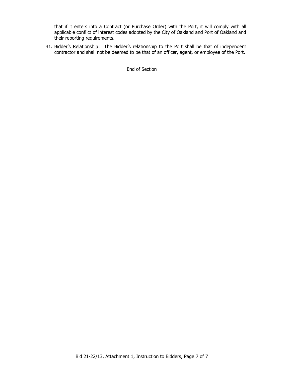that if it enters into a Contract (or Purchase Order) with the Port, it will comply with all applicable conflict of interest codes adopted by the City of Oakland and Port of Oakland and their reporting requirements.

41. Bidder's Relationship: The Bidder's relationship to the Port shall be that of independent contractor and shall not be deemed to be that of an officer, agent, or employee of the Port.

End of Section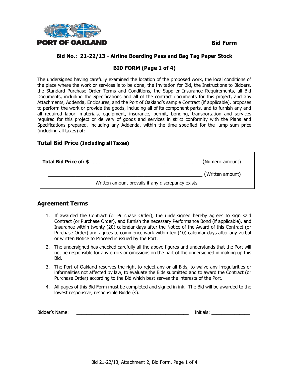

# **BID FORM (Page 1 of 4)**

The undersigned having carefully examined the location of the proposed work, the local conditions of the place where the work or services is to be done, the Invitation for Bid, the Instructions to Bidders, the Standard Purchase Order Terms and Conditions, the Supplier Insurance Requirements, all Bid Documents, including the Specifications and all of the contract documents for this project, and any Attachments, Addenda, Enclosures, and the Port of Oakland's sample Contract (if applicable), proposes to perform the work or provide the goods, including all of its component parts, and to furnish any and all required labor, materials, equipment, insurance, permit, bonding, transportation and services required for this project or delivery of goods and services in strict conformity with the Plans and Specifications prepared, including any Addenda, within the time specified for the lump sum price (including all taxes) of:

#### **Total Bid Price (Including all Taxes)**

| Total Bid Price of: \$ |                                                    | (Numeric amount) |
|------------------------|----------------------------------------------------|------------------|
|                        |                                                    | (Written amount) |
|                        | Written amount prevails if any discrepancy exists. |                  |

# **Agreement Terms**

- 1. If awarded the Contract (or Purchase Order), the undersigned hereby agrees to sign said Contract (or Purchase Order), and furnish the necessary Performance Bond (if applicable), and Insurance within twenty (20) calendar days after the Notice of the Award of this Contract (or Purchase Order) and agrees to commence work within ten (10) calendar days after any verbal or written Notice to Proceed is issued by the Port.
- 2. The undersigned has checked carefully all the above figures and understands that the Port will not be responsible for any errors or omissions on the part of the undersigned in making up this Bid.
- 3. The Port of Oakland reserves the right to reject any or all Bids, to waive any irregularities or informalities not affected by law, to evaluate the Bids submitted and to award the Contract (or Purchase Order) according to the Bid which best serves the interests of the Port.
- 4. All pages of this Bid Form must be completed and signed in ink. The Bid will be awarded to the lowest responsive, responsible Bidder(s).

| Bidder's Name: |  | Initials: |
|----------------|--|-----------|
|----------------|--|-----------|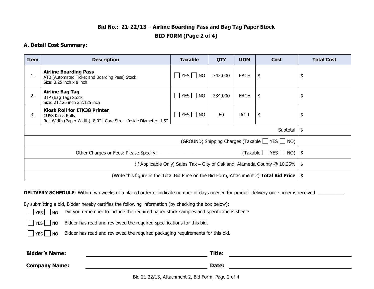# **BID FORM (Page 2 of 4)**

#### **A. Detail Cost Summary:**

| <b>Item</b>                                                                              | <b>Description</b>                                                                                                                   | <b>Taxable</b>             | QTY     | <b>UOM</b>    | <b>Cost</b> | <b>Total Cost</b> |
|------------------------------------------------------------------------------------------|--------------------------------------------------------------------------------------------------------------------------------------|----------------------------|---------|---------------|-------------|-------------------|
| ι.                                                                                       | <b>Airline Boarding Pass</b><br>ATB (Automated Ticket and Boarding Pass) Stock<br>Size: $3.25$ inch $x$ 8 inch                       | YES NO<br>$\blacksquare$   | 342,000 | <b>EACH</b>   | \$          | \$                |
| 2.                                                                                       | <b>Airline Bag Tag</b><br>BTP (Bag Tag) Stock<br>Size: 21.125 inch x 2.125 inch                                                      | YES   NO<br>$\sim$         | 234,000 | <b>EACH</b>   | \$          | \$                |
| 3.                                                                                       | <b>Kiosk Roll for ITK38 Printer</b><br><b>CUSS Kiosk Rolls</b><br>Roll Width (Paper Width): 8.0"   Core Size - Inside Diameter: 1.5" | $YES$ NO<br>$\blacksquare$ | 60      | <b>ROLL</b>   | \$          | \$                |
| Subtotal                                                                                 |                                                                                                                                      |                            |         | $\frac{1}{2}$ |             |                   |
| (GROUND) Shipping Charges (Taxable   YES   NO)                                           |                                                                                                                                      |                            |         |               |             |                   |
| Other Charges or Fees: Please Specify:                                                   |                                                                                                                                      |                            |         | $\frac{1}{2}$ |             |                   |
| (If Applicable Only) Sales Tax - City of Oakland, Alameda County @ 10.25%                |                                                                                                                                      |                            | \$      |               |             |                   |
| (Write this figure in the Total Bid Price on the Bid Form, Attachment 2) Total Bid Price |                                                                                                                                      |                            | -\$     |               |             |                   |

**DELIVERY SCHEDULE**: Within two weeks of a placed order or indicate number of days needed for product delivery once order is received \_\_\_\_\_\_\_\_\_\_.

By submitting a bid, Bidder hereby certifies the following information (by checking the box below):

|--|--|--|--|

IO Did you remember to include the required paper stock samples and specifications sheet?



 $\Box$  YES  $\Box$  NO Bidder has read and reviewed the required specifications for this bid.

 $\Box$  YES  $\Box$  NO Bidder has read and reviewed the required packaging requirements for this bid.

| <b>Bidder's Name:</b> | Title: |  |
|-----------------------|--------|--|
| <b>Company Name:</b>  | Date:  |  |

Bid 21-22/13, Attachment 2, Bid Form, Page 2 of 4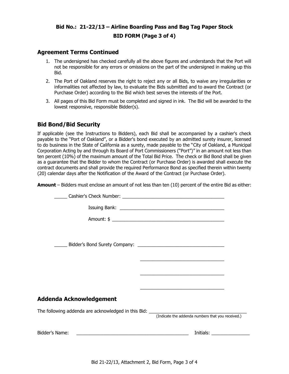# **Bid No.: 21-22/13 – Airline Boarding Pass and Bag Tag Paper Stock BID FORM (Page 3 of 4)**

## **Agreement Terms Continued**

- 1. The undersigned has checked carefully all the above figures and understands that the Port will not be responsible for any errors or omissions on the part of the undersigned in making up this Bid.
- 2. The Port of Oakland reserves the right to reject any or all Bids, to waive any irregularities or informalities not affected by law, to evaluate the Bids submitted and to award the Contract (or Purchase Order) according to the Bid which best serves the interests of the Port.
- 3. All pages of this Bid Form must be completed and signed in ink. The Bid will be awarded to the lowest responsive, responsible Bidder(s).

# **Bid Bond/Bid Security**

If applicable (see the Instructions to Bidders), each Bid shall be accompanied by a cashier's check payable to the "Port of Oakland", or a Bidder's bond executed by an admitted surety insurer, licensed to do business in the State of California as a surety, made payable to the "City of Oakland, a Municipal Corporation Acting by and through its Board of Port Commissioners ("Port")" in an amount not less than ten percent (10%) of the maximum amount of the Total Bid Price. The check or Bid Bond shall be given as a guarantee that the Bidder to whom the Contract (or Purchase Order) is awarded shall execute the contract documents and shall provide the required Performance Bond as specified therein within twenty (20) calendar days after the Notification of the Award of the Contract (or Purchase Order).

**Amount** – Bidders must enclose an amount of not less than ten (10) percent of the entire Bid as either:

| Addenda Acknowledgement                                                                                                                |  |
|----------------------------------------------------------------------------------------------------------------------------------------|--|
| The following addenda are acknowledged in this Bid: _____________________________<br>(Indicate the addenda numbers that you received.) |  |
|                                                                                                                                        |  |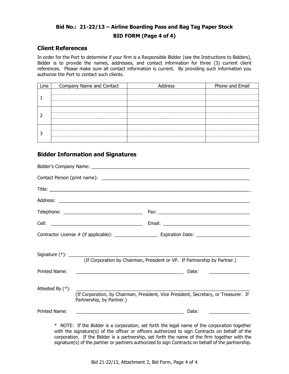# **Bid No.: 21-22/13 – Airline Boarding Pass and Bag Tag Paper Stock BID FORM (Page 4 of 4)**

## **Client References**

In order for the Port to determine if your firm is a Responsible Bidder (see the Instructions to Bidders), Bidder is to provide the names, addresses, and contact information for three (3) current client references. Please make sure all contact information is current. By providing such information you authorize the Port to contact such clients.

| Line | Company Name and Contact | Address | Phone and Email |
|------|--------------------------|---------|-----------------|
|      |                          |         |                 |
|      |                          |         |                 |
|      |                          |         |                 |
|      |                          |         |                 |
|      |                          |         |                 |
|      |                          |         |                 |
|      |                          |         |                 |
|      |                          |         |                 |

# **Bidder Information and Signatures**

|                                                                                                                                          | Signature (*): $\sqrt{2\pi}$<br>(If Corporation by Chairman, President or VP. If Partnership by Partner.)                                                                                                                      |
|------------------------------------------------------------------------------------------------------------------------------------------|--------------------------------------------------------------------------------------------------------------------------------------------------------------------------------------------------------------------------------|
| Printed Name:                                                                                                                            | Date:<br><u> 1989 - Andrea Albert III, martin a</u>                                                                                                                                                                            |
| Attested By $(*)$ :<br>(If Corporation, by Chairman, President, Vice President, Secretary, or Treasurer. If<br>Partnership, by Partner.) |                                                                                                                                                                                                                                |
| Printed Name:                                                                                                                            | <u> 1989 - Johann Barbert Barbert Barbert Barbert Barbert Barbert Barbert Barbert Barbert Barbert Barbert Barbert B</u><br>Date:                                                                                               |
|                                                                                                                                          | $\sim$ Motor to the second contract of the second contract of the second contract of the second contract of the second contract of the second contract of the second contract of the second contract of the second contract of |

\* NOTE: If the Bidder is a corporation, set forth the legal name of the corporation together with the signature(s) of the officer or officers authorized to sign Contracts on behalf of the corporation. If the Bidder is a partnership, set forth the name of the firm together with the signature(s) of the partner or partners authorized to sign Contracts on behalf of the partnership.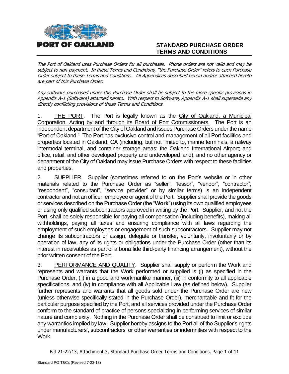

# **STANDARD PURCHASE ORDER TERMS AND CONDITIONS**

The Port of Oakland uses Purchase Orders for all purchases. Phone orders are not valid and may be subject to non-payment. In these Terms and Conditions, "the Purchase Order" refers to each Purchase Order subject to these Terms and Conditions. All Appendices described herein and/or attached hereto are part of this Purchase Order.

Any software purchased under this Purchase Order shall be subject to the more specific provisions in Appendix A-1 (Software) attached hereto. With respect to Software, Appendix A-1 shall supersede any directly conflicting provisions of these Terms and Conditions.

1. THE PORT. The Port is legally known as the City of Oakland, a Municipal Corporation, Acting by and through its Board of Port Commissioners. The Port is an independent department of the City of Oakland and issues Purchase Orders under the name "Port of Oakland." The Port has exclusive control and management of all Port facilities and properties located in Oakland, CA (including, but not limited to, marine terminals, a railway intermodal terminal, and container storage areas; the Oakland International Airport; and office, retail, and other developed property and undeveloped land), and no other agency or department of the City of Oakland may issue Purchase Orders with respect to these facilities and properties.

2. SUPPLIER. Supplier (sometimes referred to on the Port's website or in other materials related to the Purchase Order as "seller", "lessor", "vendor", "contractor", "respondent", "consultant", "service provider" or by similar terms) is an independent contractor and not an officer, employee or agent of the Port. Supplier shall provide the goods or services described on the Purchase Order (the "**Work**") using its own qualified employees or using only qualified subcontractors approved in writing by the Port. Supplier, and not the Port, shall be solely responsible for paying all compensation (including benefits), making all withholdings, paying all taxes and ensuring compliance with all laws regarding the employment of such employees or engagement of such subcontractors. Supplier may not change its subcontractors or assign, delegate or transfer, voluntarily, involuntarily or by operation of law, any of its rights or obligations under the Purchase Order (other than its interest in receivables as part of a bona fide third-party financing arrangement), without the prior written consent of the Port.

3. PERFORMANCE AND QUALITY. Supplier shall supply or perform the Work and represents and warrants that the Work performed or supplied is (i) as specified in the Purchase Order, (ii) in a good and workmanlike manner, (iii) in conformity to all applicable specifications, and (iv) in compliance with all Applicable Law (as defined below). Supplier further represents and warrants that all goods sold under the Purchase Order are new (unless otherwise specifically stated in the Purchase Order), merchantable and fit for the particular purpose specified by the Port, and all services provided under the Purchase Order conform to the standard of practice of persons specializing in performing services of similar nature and complexity. Nothing in the Purchase Order shall be construed to limit or exclude any warranties implied by law. Supplier hereby assigns to the Port all of the Supplier's rights under manufacturers', subcontractors' or other warranties or indemnities with respect to the Work.

Bid 21-22/13, Attachment 3, Standard Purchase Order Terms and Conditions, Page 1 of 11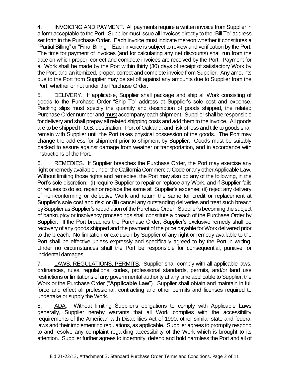4. INVOICING AND PAYMENT. All payments require a written invoice from Supplier in a form acceptable to the Port. Supplier must issue all invoices directly to the "Bill To" address set forth in the Purchase Order. Each invoice must indicate thereon whether it constitutes a "Partial Billing" or "Final Billing". Each invoice is subject to review and verification by the Port. The time for payment of invoices (and for calculating any net discounts) shall run from the date on which proper, correct and complete invoices are received by the Port. Payment for all Work shall be made by the Port within thirty (30) days of receipt of satisfactory Work by the Port, and an itemized, proper, correct and complete invoice from Supplier. Any amounts due to the Port from Supplier may be set off against any amounts due to Supplier from the Port, whether or not under the Purchase Order.

5. DELIVERY. If applicable, Supplier shall package and ship all Work consisting of goods to the Purchase Order "Ship To" address at Supplier's sole cost and expense. Packing slips must specify the quantity and description of goods shipped, the related Purchase Order number and must accompany each shipment. Supplier shall be responsible for delivery and shall prepay all related shipping costs and add them to the invoice. All goods are to be shipped F.O.B. destination: Port of Oakland, and risk of loss and title to goods shall remain with Supplier until the Port takes physical possession of the goods. The Port may change the address for shipment prior to shipment by Supplier. Goods must be suitably packed to assure against damage from weather or transportation, and in accordance with instructions of the Port.

6. REMEDIES. If Supplier breaches the Purchase Order, the Port may exercise any right or remedy available under the California Commercial Code or any other Applicable Law. Without limiting those rights and remedies, the Port may also do any of the following, in the Port's sole discretion: (i) require Supplier to repair or replace any Work, and if Supplier fails or refuses to do so, repair or replace the same at Supplier's expense; (ii) reject any delivery of non-conforming or defective Work and return the same for credit or replacement at Supplier's sole cost and risk; or (iii) cancel any outstanding deliveries and treat such breach by Supplier as Supplier's repudiation of the Purchase Order. Supplier's becoming the subject of bankruptcy or insolvency proceedings shall constitute a breach of the Purchase Order by Supplier. If the Port breaches the Purchase Order, Supplier's exclusive remedy shall be recovery of any goods shipped and the payment of the price payable for Work delivered prior to the breach. No limitation or exclusion by Supplier of any right or remedy available to the Port shall be effective unless expressly and specifically agreed to by the Port in writing. Under no circumstances shall the Port be responsible for consequential, punitive, or incidental damages.

7. LAWS, REGULATIONS, PERMITS. Supplier shall comply with all applicable laws, ordinances, rules, regulations, codes, professional standards, permits, and/or land use restrictions or limitations of any governmental authority at any time applicable to Supplier, the Work or the Purchase Order ("**Applicable Law**"). Supplier shall obtain and maintain in full force and effect all professional, contracting and other permits and licenses required to undertake or supply the Work.

8. ADA. Without limiting Supplier's obligations to comply with Applicable Laws generally, Supplier hereby warrants that all Work complies with the accessibility requirements of the American with Disabilities Act of 1990, other similar state and federal laws and their implementing regulations, as applicable. Supplier agrees to promptly respond to and resolve any complaint regarding accessibility of the Work which is brought to its attention. Supplier further agrees to indemnify, defend and hold harmless the Port and all of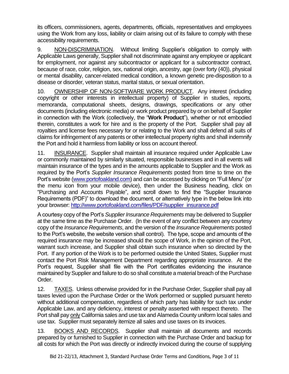its officers, commissioners, agents, departments, officials, representatives and employees using the Work from any loss, liability or claim arising out of its failure to comply with these accessibility requirements.

9. NON-DISCRIMINATION. Without limiting Supplier's obligation to comply with Applicable Laws generally, Supplier shall not discriminate against any employee or applicant for employment, nor against any subcontractor or applicant for a subcontractor contract, because of race, color, religion, sex, national origin, ancestry, age (over forty (40)), physical or mental disability, cancer-related medical condition, a known genetic pre-disposition to a disease or disorder, veteran status, marital status, or sexual orientation.

10. OWNERSHIP OF NON-SOFTWARE WORK PRODUCT. Any interest (including copyright or other interests in intellectual property) of Supplier in studies, reports, memoranda, computational sheets, designs, drawings, specifications or any other documents (including electronic media) or work product prepared by or on behalf of Supplier in connection with the Work (collectively, the "**Work Product**"), whether or not embodied therein, constitutes a work for hire and is the property of the Port. Supplier shall pay all royalties and license fees necessary for or relating to the Work and shall defend all suits of claims for infringement of any patents or other intellectual property rights and shall indemnify the Port and hold it harmless from liability or loss on account thereof.

11. INSURANCE. Supplier shall maintain all insurance required under Applicable Law or commonly maintained by similarly situated, responsible businesses and in all events will maintain insurance of the types and in the amounts applicable to Supplier and the Work as required by the Port's *Supplier Insurance Requirements* posted from time to time on the Port's website [\(www.portofoakland.com\)](http://www.portofoakland.com/) and can be accessed by clicking on "Full Menu" (or the menu icon from your mobile device), then under the Business heading, click on "Purchasing and Accounts Payable", and scroll down to find the "Supplier Insurance Requirements (PDF)" to download the document, or alternatively type in the below link into your browser: [http://www.portofoakland.com/files/PDF/supplier\\_insurance.pdf](http://www.portofoakland.com/files/PDF/supplier_insurance.pdf)

A courtesy copy of the Port's *Supplier Insurance Requirements* may be delivered to Supplier at the same time as the Purchase Order. (In the event of any conflict between any courtesy copy of the *Insurance Requirements*, and the version of the *Insurance Requirements* posted to the Port's website, the website version shall control). The type, scope and amounts of the required insurance may be increased should the scope of Work, in the opinion of the Port, warrant such increase, and Supplier shall obtain such insurance when so directed by the Port. If any portion of the Work is to be performed outside the United States, Supplier must contact the Port Risk Management Department regarding appropriate insurance. At the Port's request, Supplier shall file with the Port certificates evidencing the insurance maintained by Supplier and failure to do so shall constitute a material breach of the Purchase Order.

12. TAXES. Unless otherwise provided for in the Purchase Order, Supplier shall pay all taxes levied upon the Purchase Order or the Work performed or supplied pursuant hereto without additional compensation, regardless of which party has liability for such tax under Applicable Law, and any deficiency, interest or penalty asserted with respect thereto. The Port shall pay only California sales and use tax and Alameda County uniform local sales and use tax. Supplier must separately itemize all sales and use taxes on its invoices.

13. BOOKS AND RECORDS. Supplier shall maintain all documents and records prepared by or furnished to Supplier in connection with the Purchase Order and backup for all costs for which the Port was directly or indirectly invoiced during the course of supplying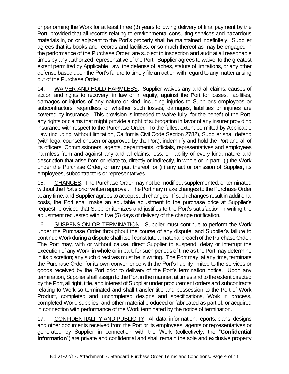or performing the Work for at least three (3) years following delivery of final payment by the Port, provided that all records relating to environmental consulting services and hazardous materials in, on or adjacent to the Port's property shall be maintained indefinitely. Supplier agrees that its books and records and facilities, or so much thereof as may be engaged in the performance of the Purchase Order, are subject to inspection and audit at all reasonable times by any authorized representative of the Port. Supplier agrees to waive, to the greatest extent permitted by Applicable Law, the defense of laches, statute of limitations, or any other defense based upon the Port's failure to timely file an action with regard to any matter arising out of the Purchase Order.

14. WAIVER AND HOLD HARMLESS. Supplier waives any and all claims, causes of action and rights to recovery, in law or in equity, against the Port for losses, liabilities, damages or injuries of any nature or kind, including injuries to Supplier's employees or subcontractors, regardless of whether such losses, damages, liabilities or injuries are covered by insurance. This provision is intended to waive fully, for the benefit of the Port, any rights or claims that might provide a right of subrogation in favor of any insurer providing insurance with respect to the Purchase Order. To the fullest extent permitted by Applicable Law (including, without limitation, California Civil Code Section 2782), Supplier shall defend (with legal counsel chosen or approved by the Port), indemnify and hold the Port and all of its officers, Commissioners, agents, departments, officials, representatives and employees harmless from and against any and all claims, loss, or liability of every kind, nature and description that arise from or relate to, directly or indirectly, in whole or in part: (i) the Work under the Purchase Order, or any part thereof; or (ii) any act or omission of Supplier, its employees, subcontractors or representatives.

15. CHANGES. The Purchase Order may not be modified, supplemented, or terminated without the Port's prior written approval. The Port may make changes to the Purchase Order at any time, and Supplier agrees to accept such changes. If such changes result in additional costs, the Port shall make an equitable adjustment to the purchase price at Supplier's request, provided that Supplier itemizes and justifies to the Port's satisfaction in writing the adjustment requested within five (5) days of delivery of the change notification.

16. SUSPENSION OR TERMINATION. Supplier must continue to perform the Work under the Purchase Order throughout the course of any dispute, and Supplier's failure to continue Work during a dispute shall itself constitute a material breach of the Purchase Order. The Port may, with or without cause, direct Supplier to suspend, delay or interrupt the execution of any Work, in whole or in part, for such periods of time as the Port may determine in its discretion; any such directives must be in writing. The Port may, at any time, terminate the Purchase Order for its own convenience with the Port's liability limited to the services or goods received by the Port prior to delivery of the Port's termination notice. Upon any termination, Supplier shall assign to the Port in the manner, at times and to the extent directed by the Port, all right, title, and interest of Supplier under procurement orders and subcontracts relating to Work so terminated and shall transfer title and possession to the Port of Work Product, completed and uncompleted designs and specifications, Work in process, completed Work, supplies, and other material produced or fabricated as part of, or acquired in connection with performance of the Work terminated by the notice of termination.

17. CONFIDENTIALITY AND PUBLICITY. All data, information, reports, plans, designs and other documents received from the Port or its employees, agents or representatives or generated by Supplier in connection with the Work (collectively, the "**Confidential Information**") are private and confidential and shall remain the sole and exclusive property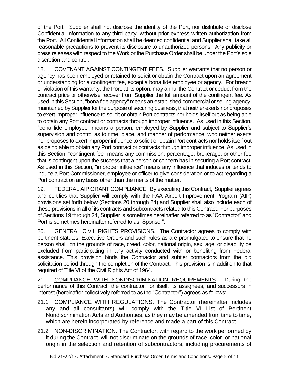of the Port. Supplier shall not disclose the identity of the Port, nor distribute or disclose Confidential Information to any third party, without prior express written authorization from the Port. All Confidential Information shall be deemed confidential and Supplier shall take all reasonable precautions to prevent its disclosure to unauthorized persons. Any publicity or press releases with respect to the Work or the Purchase Order shall be under the Port's sole discretion and control.

18. COVENANT AGAINST CONTINGENT FEES. Supplier warrants that no person or agency has been employed or retained to solicit or obtain the Contract upon an agreement or understanding for a contingent fee, except a bona fide employee or agency. For breach or violation of this warranty, the Port, at its option, may annul the Contract or deduct from the contract price or otherwise recover from Supplier the full amount of the contingent fee. As used in this Section, "bona fide agency" means an established commercial or selling agency, maintained by Supplier for the purpose of securing business, that neither exerts nor proposes to exert improper influence to solicit or obtain Port contracts nor holds itself out as being able to obtain any Port contract or contracts through improper influence. As used in this Section, "bona fide employee" means a person, employed by Supplier and subject to Supplier's supervision and control as to time, place, and manner of performance, who neither exerts nor proposes to exert improper influence to solicit or obtain Port contracts nor holds itself out as being able to obtain any Port contract or contracts through improper influence. As used in this Section, "contingent fee" means any commission, percentage, brokerage, or other fee that is contingent upon the success that a person or concern has in securing a Port contract. As used in this Section, "improper influence" means any influence that induces or tends to induce a Port Commissioner, employee or officer to give consideration or to act regarding a Port contract on any basis other than the merits of the matter.

19. FEDERAL AIP GRANT COMPLIANCE. By executing this Contract, Supplier agrees and certifies that Supplier will comply with the FAA Airport Improvement Program (AIP) provisions set forth below (Sections 20 through 24) and Supplier shall also include each of these provisions in all of its contracts and subcontracts related to this Contract. For purposes of Sections 19 through 24, Supplier is sometimes hereinafter referred to as "Contractor" and Port is sometimes hereinafter referred to as "Sponsor".

20. GENERAL CIVIL RIGHTS PROVISIONS.The Contractor agrees to comply with pertinent statutes, Executive Orders and such rules as are promulgated to ensure that no person shall, on the grounds of race, creed, color, national origin, sex, age, or disability be excluded from participating in any activity conducted with or benefiting from Federal assistance. This provision binds the Contractor and subtier contractors from the bid solicitation period through the completion of the Contract. This provision is in addition to that required of Title VI of the Civil Rights Act of 1964.

21. COMPLIANCE WITH NONDISCRIMINATION REQUIREMENTS. During the performance of this Contract, the contractor, for itself, its assignees, and successors in interest (hereinafter collectively referred to as the "Contractor") agrees as follows:

- 21.1 COMPLIANCE WITH REGULATIONS. The Contractor (hereinafter includes any and all consultants) will comply with the Title VI List of Pertinent Nondiscrimination Acts and Authorities, as they may be amended from time to time, which are herein incorporated by reference and made a part of this Contract.
- 21.2 NON-DISCRIMINATION. The Contractor, with regard to the work performed by it during the Contract, will not discriminate on the grounds of race, color, or national origin in the selection and retention of subcontractors, including procurements of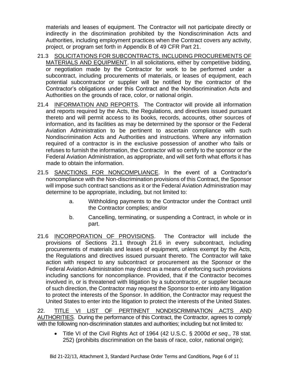materials and leases of equipment. The Contractor will not participate directly or indirectly in the discrimination prohibited by the Nondiscrimination Acts and Authorities, including employment practices when the Contract covers any activity, project, or program set forth in Appendix B of 49 CFR Part 21.

- 21.3 SOLICITATIONS FOR SUBCONTRACTS, INCLUDING PROCUREMENTS OF MATERIALS AND EQUIPMENT. In all solicitations, either by competitive bidding, or negotiation made by the Contractor for work to be performed under a subcontract, including procurements of materials, or leases of equipment, each potential subcontractor or supplier will be notified by the contractor of the Contractor's obligations under this Contract and the Nondiscrimination Acts and Authorities on the grounds of race, color, or national origin.
- 21.4 INFORMATION AND REPORTS. The Contractor will provide all information and reports required by the Acts, the Regulations, and directives issued pursuant thereto and will permit access to its books, records, accounts, other sources of information, and its facilities as may be determined by the sponsor or the Federal Aviation Administration to be pertinent to ascertain compliance with such Nondiscrimination Acts and Authorities and instructions. Where any information required of a contractor is in the exclusive possession of another who fails or refuses to furnish the information, the Contractor will so certify to the sponsor or the Federal Aviation Administration, as appropriate, and will set forth what efforts it has made to obtain the information.
- 21.5 SANCTIONS FOR NONCOMPLIANCE. In the event of a Contractor's noncompliance with the Non-discrimination provisions of this Contract, the Sponsor will impose such contract sanctions as it or the Federal Aviation Administration may determine to be appropriate, including, but not limited to:
	- a. Withholding payments to the Contractor under the Contract until the Contractor complies; and/or
	- b. Cancelling, terminating, or suspending a Contract, in whole or in part.
- 21.6 INCORPORATION OF PROVISIONS.The Contractor will include the provisions of Sections 21.1 through 21.6 in every subcontract, including procurements of materials and leases of equipment, unless exempt by the Acts, the Regulations and directives issued pursuant thereto. The Contractor will take action with respect to any subcontract or procurement as the Sponsor or the Federal Aviation Administration may direct as a means of enforcing such provisions including sanctions for noncompliance. Provided, that if the Contractor becomes involved in, or is threatened with litigation by a subcontractor, or supplier because of such direction, the Contractor may request the Sponsor to enter into any litigation to protect the interests of the Sponsor. In addition, the Contractor may request the United States to enter into the litigation to protect the interests of the United States.

22. TITLE VI LIST OF PERTINENT NONDISCRIMINATION ACTS AND AUTHORITIES. During the performance of this Contract, the Contractor, agrees to comply with the following non-discrimination statutes and authorities; including but not limited to:

• Title VI of the Civil Rights Act of 1964 (42 U.S.C. § 2000d *et seq*., 78 stat. 252) (prohibits discrimination on the basis of race, color, national origin);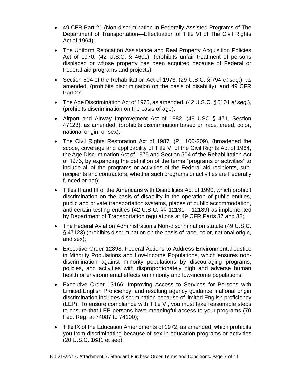- 49 CFR Part 21 (Non-discrimination In Federally-Assisted Programs of The Department of Transportation—Effectuation of Title VI of The Civil Rights Act of 1964);
- The Uniform Relocation Assistance and Real Property Acquisition Policies Act of 1970, (42 U.S.C. § 4601), (prohibits unfair treatment of persons displaced or whose property has been acquired because of Federal or Federal-aid programs and projects);
- Section 504 of the Rehabilitation Act of 1973, (29 U.S.C. § 794 *et seq*.), as amended, (prohibits discrimination on the basis of disability); and 49 CFR Part 27;
- The Age Discrimination Act of 1975, as amended, (42 U.S.C. § 6101 *et seq*.), (prohibits discrimination on the basis of age);
- Airport and Airway Improvement Act of 1982, (49 USC § 471, Section 47123), as amended, (prohibits discrimination based on race, creed, color, national origin, or sex);
- The Civil Rights Restoration Act of 1987, (PL 100-209), (broadened the scope, coverage and applicability of Title VI of the Civil Rights Act of 1964, the Age Discrimination Act of 1975 and Section 504 of the Rehabilitation Act of 1973, by expanding the definition of the terms "programs or activities" to include all of the programs or activities of the Federal-aid recipients, subrecipients and contractors, whether such programs or activities are Federally funded or not);
- Titles II and III of the Americans with Disabilities Act of 1990, which prohibit discrimination on the basis of disability in the operation of public entities, public and private transportation systems, places of public accommodation, and certain testing entities (42 U.S.C. §§ 12131 – 12189) as implemented by Department of Transportation regulations at 49 CFR Parts 37 and 38;
- The Federal Aviation Administration's Non-discrimination statute (49 U.S.C. § 47123) (prohibits discrimination on the basis of race, color, national origin, and sex);
- Executive Order 12898, Federal Actions to Address Environmental Justice in Minority Populations and Low-Income Populations, which ensures nondiscrimination against minority populations by discouraging programs, policies, and activities with disproportionately high and adverse human health or environmental effects on minority and low-income populations;
- Executive Order 13166, Improving Access to Services for Persons with Limited English Proficiency, and resulting agency guidance, national origin discrimination includes discrimination because of limited English proficiency (LEP). To ensure compliance with Title VI, you must take reasonable steps to ensure that LEP persons have meaningful access to your programs (70 Fed. Reg. at 74087 to 74100);
- Title IX of the Education Amendments of 1972, as amended, which prohibits you from discriminating because of sex in education programs or activities (20 U.S.C. 1681 et seq).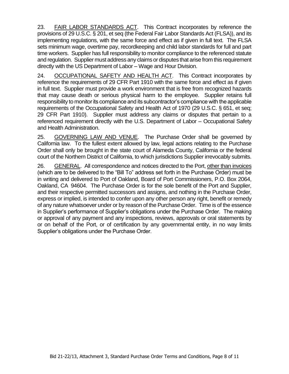23. FAIR LABOR STANDARDS ACT. This Contract incorporates by reference the provisions of 29 U.S.C. § 201, et seq (the Federal Fair Labor Standards Act (FLSA)), and its implementing regulations, with the same force and effect as if given in full text. The FLSA sets minimum wage, overtime pay, recordkeeping and child labor standards for full and part time workers. Supplier has full responsibility to monitor compliance to the referenced statute and regulation. Supplier must address any claims or disputes that arise from this requirement directly with the US Department of Labor – Wage and Hour Division.

24. OCCUPATIONAL SAFETY AND HEALTH ACT.This Contract incorporates by reference the requirements of 29 CFR Part 1910 with the same force and effect as if given in full text. Supplier must provide a work environment that is free from recognized hazards that may cause death or serious physical harm to the employee. Supplier retains full responsibility to monitor its compliance and its subcontractor's compliance with the applicable requirements of the Occupational Safety and Health Act of 1970 (29 U.S.C. § 651, et seq; 29 CFR Part 1910). Supplier must address any claims or disputes that pertain to a referenced requirement directly with the U.S. Department of Labor – Occupational Safety and Health Administration.

25. GOVERNING LAW AND VENUE. The Purchase Order shall be governed by California law. To the fullest extent allowed by law, legal actions relating to the Purchase Order shall only be brought in the state court of Alameda County, California or the federal court of the Northern District of California, to which jurisdictions Supplier irrevocably submits.

26. GENERAL. All correspondence and notices directed to the Port, other than invoices (which are to be delivered to the "Bill To" address set forth in the Purchase Order) must be in writing and delivered to Port of Oakland, Board of Port Commissioners, P.O. Box 2064, Oakland, CA 94604. The Purchase Order is for the sole benefit of the Port and Supplier, and their respective permitted successors and assigns, and nothing in the Purchase Order, express or implied, is intended to confer upon any other person any right, benefit or remedy of any nature whatsoever under or by reason of the Purchase Order. Time is of the essence in Supplier's performance of Supplier's obligations under the Purchase Order. The making or approval of any payment and any inspections, reviews, approvals or oral statements by or on behalf of the Port, or of certification by any governmental entity, in no way limits Supplier's obligations under the Purchase Order.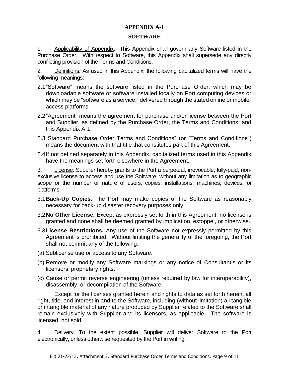# **APPENDIX A-1**

#### **SOFTWARE**

1. Applicability of Appendix. This Appendix shall govern any Software listed in the Purchase Order. With respect to Software, this Appendix shall supersede any directly conflicting provision of the Terms and Conditions.

2. Definitions. As used in this Appendix, the following capitalized terms will have the following meanings:

- 2.1"Software" means the software listed in the Purchase Order, which may be downloadable software or software installed locally on Port computing devices or which may be "software as a service," delivered through the stated online or mobileaccess platforms.
- 2.2"Agreement" means the agreement for purchase and/or license between the Port and Supplier, as defined by the Purchase Order, the Terms and Conditions, and this Appendix A-1.
- 2.3"Standard Purchase Order Terms and Conditions" (or "Terms and Conditions") means the document with that title that constitutes part of this Agreement.
- 2.4If not defined separately in this Appendix, capitalized terms used in this Appendix have the meanings set forth elsewhere in the Agreement.

3. License. Supplier hereby grants to the Port a perpetual, irrevocable, fully-paid, nonexclusive license to access and use the Software, without any limitation as to geographic scope or the number or nature of users, copies, installations, machines, devices, or platforms.

- 3.1**Back-Up Copies.** The Port may make copies of the Software as reasonably necessary for back-up disaster recovery purposes only.
- 3.2**No Other License.** Except as expressly set forth in this Agreement, no license is granted and none shall be deemed granted by implication, estoppel, or otherwise.
- 3.3**License Restrictions.** Any use of the Software not expressly permitted by this Agreement is prohibited. Without limiting the generality of the foregoing, the Port shall not commit any of the following:
- (a) Sublicense use or access to any Software.
- (b) Remove or modify any Software markings or any notice of Consultant's or its licensors' proprietary rights.
- (c) Cause or permit reverse engineering (unless required by law for interoperability), disassembly, or decompilation of the Software.

Except for the licenses granted herein and rights to data as set forth herein, all right, title, and interest in and to the Software, including (without limitation) all tangible or intangible material of any nature produced by Supplier related to the Software shall remain exclusively with Supplier and its licensors, as applicable. The software is licensed, not sold.

4. Delivery. To the extent possible, Supplier will deliver Software to the Port electronically, unless otherwise requested by the Port in writing.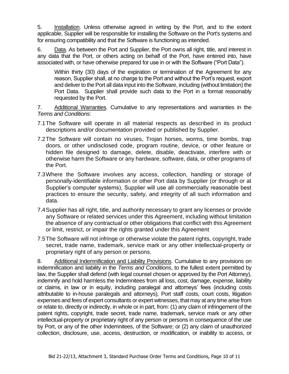5. Installation. Unless otherwise agreed in writing by the Port, and to the extent applicable, Supplier will be responsible for installing the Software on the Port's systems and for ensuring compatibility and that the Software is functioning as intended.

6. Data. As between the Port and Supplier, the Port owns all right, title, and interest in any data that the Port, or others acting on behalf of the Port, have entered into, have associated with, or have otherwise prepared for use in or with the Software ("Port Data").

Within thirty (30) days of the expiration or termination of the Agreement for any reason, Supplier shall, at no charge to the Port and without the Port's request, export and deliver to the Port all data input into the Software, including (without limitation) the Port Data. Supplier shall provide such data to the Port in a format reasonably requested by the Port.

7. Additional Warranties. Cumulative to any representations and warranties in the *Terms and Conditions*:

- 7.1The Software will operate in all material respects as described in its product descriptions and/or documentation provided or published by Supplier.
- 7.2The Software will contain no viruses, Trojan horses, worms, time bombs, trap doors, or other undisclosed code, program routine, device, or other feature or hidden file designed to damage, delete, disable, deactivate, interfere with or otherwise harm the Software or any hardware, software, data, or other programs of the Port.
- 7.3Where the Software involves any access, collection, handling or storage of personally-identifiable information or other Port data by Supplier (or through or at Supplier's computer systems), Supplier will use all commercially reasonable best practices to ensure the security, safety, and integrity of all such information and data.
- 7.4Supplier has all right, title, and authority necessary to grant any licenses or provide any Software or related services under this Agreement, including without limitation the absence of any contractual or other obligations that conflict with this Agreement or limit, restrict, or impair the rights granted under this Agreement
- 7.5The Software will not infringe or otherwise violate the patent rights, copyright, trade secret, trade name, trademark, service mark or any other intellectual-property or proprietary right of any person or persons.

8. Additional Indemnification and Liability Provisions. Cumulative to any provisions on indemnification and liability in the *Terms and Conditions*, to the fullest extent permitted by law, the Supplier shall defend (with legal counsel chosen or approved by the Port Attorney), indemnify and hold harmless the Indemnitees from all loss, cost, damage, expense, liability or claims, in law or in equity, including paralegal and attorneys' fees (including costs attributable to in-house paralegals and attorneys), Port staff costs, court costs, litigation expenses and fees of expert consultants or expert witnesses, that may at any time arise from or relate to, directly or indirectly, in whole or in part, from: (1) any claim of infringement of the patent rights, copyright, trade secret, trade name, trademark, service mark or any other intellectual-property or proprietary right of any person or persons in consequence of the use by Port, or any of the other Indemnitees, of the Software; or (2) any claim of unauthorized collection, disclosure, use, access, destruction, or modification, or inability to access, or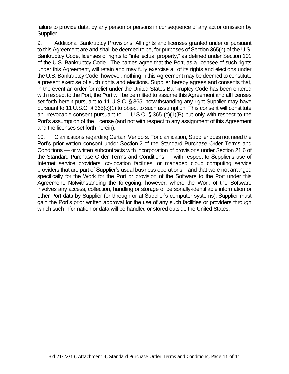failure to provide data, by any person or persons in consequence of any act or omission by Supplier.

9. Additional Bankruptcy Provisions. All rights and licenses granted under or pursuant to this Agreement are and shall be deemed to be, for purposes of Section 365(n) of the U.S. Bankruptcy Code, licenses of rights to "intellectual property," as defined under Section 101 of the U.S. Bankruptcy Code. The parties agree that the Port, as a licensee of such rights under this Agreement, will retain and may fully exercise all of its rights and elections under the U.S. Bankruptcy Code; however, nothing in this Agreement may be deemed to constitute a present exercise of such rights and elections. Supplier hereby agrees and consents that, in the event an order for relief under the United States Bankruptcy Code has been entered with respect to the Port, the Port will be permitted to assume this Agreement and all licenses set forth herein pursuant to 11 U.S.C. § 365, notwithstanding any right Supplier may have pursuant to 11 U.S.C. § 365(c)(1) to object to such assumption. This consent will constitute an irrevocable consent pursuant to 11 U.S.C. § 365 (c)(1)(B) but only with respect to the Port's assumption of the License (and not with respect to any assignment of this Agreement and the licenses set forth herein).

10. Clarifications regarding Certain Vendors. For clarification, Supplier does not need the Port's prior written consent under Section 2 of the Standard Purchase Order Terms and Conditions — or written subcontracts with incorporation of provisions under Section 21.6 of the Standard Purchase Order Terms and Conditions — with respect to Supplier's use of Internet service providers, co-location facilities, or managed cloud computing service providers that are part of Supplier's usual business operations—and that were not arranged specifically for the Work for the Port or provision of the Software to the Port under this Agreement. Notwithstanding the foregoing, however, where the Work of the Software involves any access, collection, handling or storage of personally-identifiable information or other Port data by Supplier (or through or at Supplier's computer systems), Supplier must gain the Port's prior written approval for the use of any such facilities or providers through which such information or data will be handled or stored outside the United States.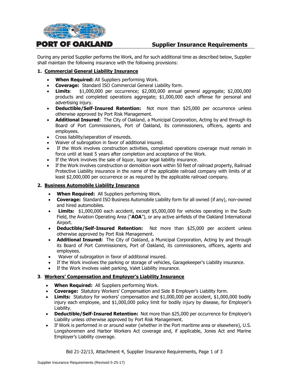

# **Supplier Insurance Requirements**

During any period Supplier performs the Work, and for such additional time as described below, Supplier shall maintain the following insurance with the following provisions:

#### **1. Commercial General Liability Insurance**

- **When Required:** All Suppliers performing Work.
- **Coverage:** Standard ISO Commercial General Liability form.
- **Limits**: \$1,000,000 per occurrence; \$2,000,000 annual general aggregate; \$2,000,000 products and completed operations aggregate; \$1,000,000 each offense for personal and advertising injury.
- **Deductible/Self-Insured Retention:** Not more than \$25,000 per occurrence unless otherwise approved by Port Risk Management.
- **Additional Insured**: The City of Oakland, a Municipal Corporation, Acting by and through its Board of Port Commissioners, Port of Oakland, its commissioners, officers, agents and employees.
- Cross liability/separation of insureds.
- Waiver of subrogation in favor of additional insured.
- If the Work involves construction activities, completed operations coverage must remain in force until at least 5 years after completion and acceptance of the Work.
- If the Work involves the sale of liquor, liquor legal liability insurance.
- If the Work involves construction or demolition work within 50 feet of railroad property, Railroad Protective Liability insurance in the name of the applicable railroad company with limits of at least \$2,000,000 per occurrence or as required by the applicable railroad company.

#### **2. Business Automobile Liability Insurance**

- **When Required:** All Suppliers performing Work.
- **Coverage:** Standard ISO Business Automobile Liability form for all owned (if any), non-owned and hired automobiles.
- **Limits:** \$1,000,000 each accident, except \$5,000,000 for vehicles operating in the South Field, the Aviation Operating Area ("**AOA**"), or any active airfields of the Oakland International Airport.
- **Deductible/Self-Insured Retention:** Not more than \$25,000 per accident unless otherwise approved by Port Risk Management.
- **Additional Insured:** The City of Oakland, a Municipal Corporation, Acting by and through its Board of Port Commissioners, Port of Oakland, its commissioners, officers, agents and employees.
- Waiver of subrogation in favor of additional insured.
- If the Work involves the parking or storage of vehicles, Garagekeeper's Liability insurance.
- If the Work involves valet parking, Valet Liability insurance.

#### **3**. **Workers' Compensation and Employer's Liability Insurance**

- **When Required:** All Suppliers performing Work.
- **Coverage:** Statutory Workers' Compensation and Side B Employer's Liability form.
- **Limits:** Statutory for workers' compensation and \$1,000,000 per accident, \$1,000,000 bodily injury each employee, and \$1,000,000 policy limit for bodily injury by disease, for Employer's Liability.
- **Deductible/Self-Insured Retention:** Not more than \$25,000 per occurrence for Employer's Liability unless otherwise approved by Port Risk Management.
- If Work is performed in or around water (whether in the Port maritime area or elsewhere), U.S. Longshoremen and Harbor Workers Act coverage and, if applicable, Jones Act and Marine Employer's Liability coverage.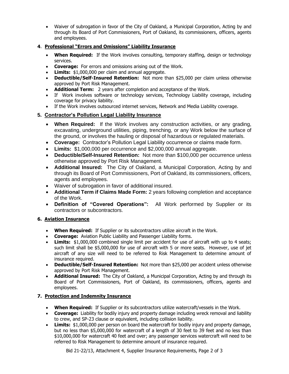• Waiver of subrogation in favor of the City of Oakland, a Municipal Corporation, Acting by and through its Board of Port Commissioners, Port of Oakland, its commissioners, officers, agents and employees.

#### **4**. **Professional "Errors and Omissions" Liability Insurance**

- **When Required:** If the Work involves consulting, temporary staffing, design or technology services.
- **Coverage:** For errors and omissions arising out of the Work.
- **Limits:** \$1,000,000 per claim and annual aggregate.
- **Deductible/Self-Insured Retention:** Not more than \$25,000 per claim unless otherwise approved by Port Risk Management.
- **Additional Term:** 2 years after completion and acceptance of the Work.
- If Work involves software or technology services, Technology Liability coverage, including coverage for privacy liability.
- If the Work involves outsourced internet services, Network and Media Liability coverage.

# **5. Contractor's Pollution Legal Liability Insurance**

- **When Required:** If the Work involves any construction activities, or any grading, excavating, underground utilities, piping, trenching, or any Work below the surface of the ground, or involves the hauling or disposal of hazardous or regulated materials.
- **Coverage:** Contractor's Pollution Legal Liability occurrence or claims made form.
- **Limits:** \$1,000,000 per occurrence and \$2,000,000 annual aggregate.
- **Deductible/Self-Insured Retention:** Not more than \$100,000 per occurrence unless otherwise approved by Port Risk Management.
- **Additional Insured:** The City of Oakland, a Municipal Corporation, Acting by and through its Board of Port Commissioners, Port of Oakland, its commissioners, officers, agents and employees.
- Waiver of subrogation in favor of additional insured.
- **Additional Term if Claims Made Form:** 2 years following completion and acceptance of the Work.
- **Definition of "Covered Operations":** All Work performed by Supplier or its contractors or subcontractors.

# **6. Aviation Insurance**

- **When Required:** If Supplier or its subcontractors utilize aircraft in the Work.
- **Coverage:** Aviation Public Liability and Passenger Liability forms.
- Limits: \$1,000,000 combined single limit per accident for use of aircraft with up to 4 seats; such limit shall be \$5,000,000 for use of aircraft with 5 or more seats. However, use of jet aircraft of any size will need to be referred to Risk Management to determine amount of insurance required.
- **Deductible/Self-Insured Retention:** Not more than \$25,000 per accident unless otherwise approved by Port Risk Management.
- **Additional Insured:** The City of Oakland, a Municipal Corporation, Acting by and through its Board of Port Commissioners, Port of Oakland, its commissioners, officers, agents and employees.

# **7. Protection and Indemnity Insurance**

- **When Required:** If Supplier or its subcontractors utilize watercraft/vessels in the Work.
- **Coverage:** Liability for bodily injury and property damage including wreck removal and liability to crew, and SP-23 clause or equivalent, including collision liability.
- **Limits:** \$1,000,000 per person on board the watercraft for bodily injury and property damage, but no less than \$5,000,000 for watercraft of a length of 30 feet to 39 feet and no less than \$10,000,000 for watercraft 40 feet and over; any passenger services watercraft will need to be referred to Risk Management to determine amount of insurance required.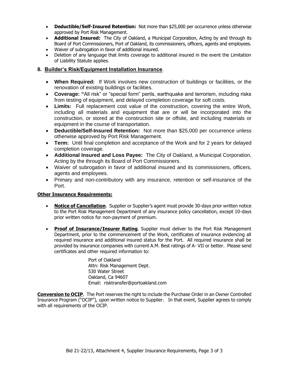- **Deductible/Self-Insured Retention:** Not more than \$25,000 per occurrence unless otherwise approved by Port Risk Management.
- **Additional Insured:** The City of Oakland, a Municipal Corporation, Acting by and through its Board of Port Commissioners, Port of Oakland, its commissioners, officers, agents and employees.
- Waiver of subrogation in favor of additional insured.
- Deletion of any language that limits coverage to additional insured in the event the Limitation of Liability Statute applies.

#### **8. Builder's Risk/Equipment Installation Insurance**.

- **When Required:** If Work involves new construction of buildings or facilities, or the renovation of existing buildings or facilities.
- **Coverage: "**All risk" or "special form" perils, earthquake and terrorism, including risks from testing of equipment, and delayed completion coverage for soft costs.
- **Limits:** Full replacement cost value of the construction, covering the entire Work, including all materials and equipment that are or will be incorporated into the construction, or stored at the construction site or offsite, and including materials or equipment in the course of transportation.
- **Deductible/Self-Insured Retention:** Not more than \$25,000 per occurrence unless otherwise approved by Port Risk Management.
- **Term:** Until final completion and acceptance of the Work and for 2 years for delayed completion coverage.
- **Additional Insured and Loss Payee:** The City of Oakland, a Municipal Corporation, Acting by the through its Board of Port Commissioners.
- Waiver of subrogation in favor of additional insured and its commissioners, officers, agents and employees.
- Primary and non-contributory with any insurance, retention or self-insurance of the Port.

#### **Other Insurance Requirements:**

- **Notice of Cancellation**. Supplier or Supplier's agent must provide 30-days prior written notice to the Port Risk Management Department of any insurance policy cancellation, except 10-days prior written notice for non-payment of premium.
- **Proof of Insurance/Insurer Rating**. Supplier must deliver to the Port Risk Management Department, prior to the commencement of the Work, certificates of insurance evidencing all required insurance and additional insured status for the Port. All required insurance shall be provided by insurance companies with current A.M. Best ratings of A- VII or better. Please send certificates and other required information to:

Port of Oakland Attn: Risk Management Dept. 530 Water Street Oakland, Ca 94607 Email: risktransfer@portoakland.com

**Conversion to OCIP**. The Port reserves the right to include the Purchase Order in an Owner Controlled Insurance Program ("OCIP"), upon written notice to Supplier. In that event, Supplier agrees to comply with all requirements of the OCIP.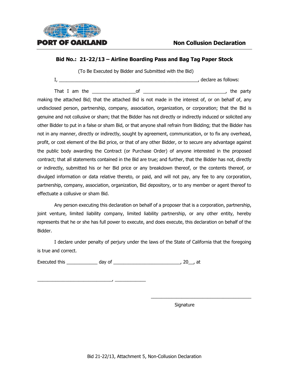

(To Be Executed by Bidder and Submitted with the Bid)

I, \_\_\_\_\_\_\_\_\_\_\_\_\_\_\_\_\_\_\_\_\_\_\_\_\_\_\_\_\_\_\_\_\_\_\_\_\_\_\_\_\_\_\_\_\_\_\_\_\_\_\_\_\_\_, declare as follows:

That I am the  $\qquad \qquad \qquad \qquad$  of  $\qquad \qquad \qquad \qquad \qquad \qquad \qquad \qquad$ , the party

making the attached Bid; that the attached Bid is not made in the interest of, or on behalf of, any undisclosed person, partnership, company, association, organization, or corporation; that the Bid is genuine and not collusive or sham; that the Bidder has not directly or indirectly induced or solicited any other Bidder to put in a false or sham Bid, or that anyone shall refrain from Bidding; that the Bidder has not in any manner, directly or indirectly, sought by agreement, communication, or to fix any overhead, profit, or cost element of the Bid price, or that of any other Bidder, or to secure any advantage against the public body awarding the Contract (or Purchase Order) of anyone interested in the proposed contract; that all statements contained in the Bid are true; and further, that the Bidder has not, directly or indirectly, submitted his or her Bid price or any breakdown thereof, or the contents thereof, or divulged information or data relative thereto, or paid, and will not pay, any fee to any corporation, partnership, company, association, organization, Bid depository, or to any member or agent thereof to effectuate a collusive or sham Bid.

Any person executing this declaration on behalf of a proposer that is a corporation, partnership, joint venture, limited liability company, limited liability partnership, or any other entity, hereby represents that he or she has full power to execute, and does execute, this declaration on behalf of the Bidder.

I declare under penalty of perjury under the laws of the State of California that the foregoing is true and correct.

Executed this \_\_\_\_\_\_\_\_\_\_\_\_ day of \_\_\_\_\_\_\_\_\_\_\_\_\_\_\_\_\_\_\_\_\_\_\_\_\_\_, 20\_\_, at

 $\overline{\phantom{a}}$  ,  $\overline{\phantom{a}}$  ,  $\overline{\phantom{a}}$  ,  $\overline{\phantom{a}}$  ,  $\overline{\phantom{a}}$  ,  $\overline{\phantom{a}}$  ,  $\overline{\phantom{a}}$  ,  $\overline{\phantom{a}}$  ,  $\overline{\phantom{a}}$  ,  $\overline{\phantom{a}}$  ,  $\overline{\phantom{a}}$  ,  $\overline{\phantom{a}}$  ,  $\overline{\phantom{a}}$  ,  $\overline{\phantom{a}}$  ,  $\overline{\phantom{a}}$  ,  $\overline{\phantom{a}}$ 

Signature

\_\_\_\_\_\_\_\_\_\_\_\_\_\_\_\_\_\_\_\_\_\_\_\_\_\_\_\_\_\_\_\_\_\_\_\_\_\_\_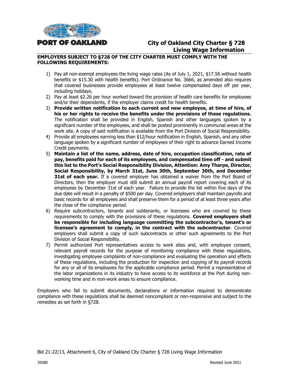

# **City of Oakland City Charter § 728 Living Wage Information**

#### **EMPLOYERS SUBJECT TO §728 OF THE CITY CHARTER MUST COMPLY WITH THE FOLLOWING REQUIREMENTS:**

- 1) Pay all non-exempt employees the living wage rates (As of July 1, 2021, \$17.56 without health benefits or \$15.30 with health benefits). Port Ordinance No. 3666, as amended also requires that covered businesses provide employees at least twelve compensated days off per year, including holidays.
- 2) Pay at least \$2.26 per hour worked toward the provision of health care benefits for employees and/or their dependents, if the employer claims credit for health benefits.
- 3) **Provide written notification to each current and new employee, at time of hire, of his or her rights to receive the benefits under the provisions of these regulations.** The notification shall be provided in English, Spanish and other languages spoken by a significant number of the employees, and shall be posted prominently in communal areas at the work site. A copy of said notification is available from the Port Division of Social Responsibility.
- 4) Provide all employees earning less than \$12/hour notification in English, Spanish, and any other language spoken by a significant number of employees of their right to advance Earned Income Credit payments.
- 5) **Maintain a list of the name, address, date of hire, occupation classification, rate of pay, benefits paid for each of its employees, and compensated time off - and submit this list to the Port's Social Responsibility Division, Attention: Amy Tharpe, Director, Social Responsibility, by March 31st, June 30th, September 30th, and December 31st of each year.** If a covered employer has obtained a waiver from the Port Board of Directors, then the employer must still submit an annual payroll report covering each of its employees by December 31st of each year. Failure to provide the list within five days of the due date will result in a penalty of \$500 per day. Covered employers shall maintain payrolls and basic records for all employees and shall preserve them for a period of at least three years after the close of the compliance period.
- 6) Require subcontractors, tenants and subtenants, or licensees who are covered by these requirements to comply with the provisions of these regulations. **Covered employers shall be responsible for including language committing the subcontractor's, tenant's or licensee's agreement to comply, in the contract with the subcontractor**. Covered employers shall submit a copy of such subcontracts or other such agreements to the Port Division of Social Responsibility.
- 7) Permit authorized Port representatives access to work sites and, with employee consent, relevant payroll records for the purpose of monitoring compliance with these regulations, investigating employee complaints of non-compliance and evaluating the operation and effects of these regulations, including the production for inspection and copying of its payroll records for any or all of its employees for the applicable compliance period. Permit a representative of the labor organizations in its industry to have access to its workforce at the Port during nonworking time and in non-work areas to ensure compliance.

Employers who fail to submit documents, declarations or information required to demonstrate compliance with these regulations shall be deemed noncompliant or non-responsive and subject to the remedies as set forth in §728.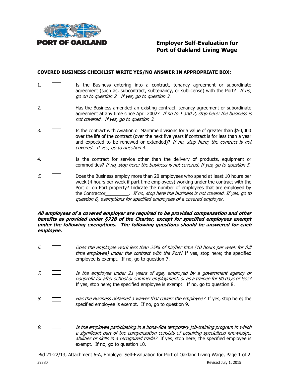

#### **COVERED BUSINESS CHECKLIST WRITE YES/NO ANSWER IN APPROPRIATE BOX:**

- 1. **If the Business entering into a contract, tenancy agreement or subordinate** agreement (such as, subcontract, subtenancy, or sublicense) with the Port? If no, go on to question 2. If yes, go to question 3.
- 2. **Has the Business amended an existing contract, tenancy agreement or subordinate** agreement at any time since April 2002? If no to 1 and 2, stop here: the business is not covered. If yes, go to question 3.
- 3. Is the contract with Aviation or Maritime divisions for a value of greater than \$50,000 over the life of the contract (over the next five years if contract is for less than a year and expected to be renewed or extended)? If no, stop here; the contract is not covered. If yes, go to question 4.
- 4. Is the contract for service other than the delivery of products, equipment or commodities? If no, stop here: the business is not covered. If yes, go to question 5.
- $5.$  Does the Business employ more than 20 employees who spend at least 10 hours per week (4 hours per week if part time employees) working under the contract with the Port or on Port property? Indicate the number of employees that are employed by the Contractor entirely a stop here the business is not covered. If yes, go to question 6, exemptions for specified employees of a covered employer.

#### **All employees of a covered employer are required to be provided compensation and other benefits as provided under §728 of the Charter, except for specified employees exempt under the following exemptions. The following questions should be answered for each employee.**

- 6. Does the employee work less than 25% of his/her time (10 hours per week for full time employee) under the contract with the Port? If yes, stop here; the specified employee is exempt. If no, go to question 7.
- 7. Is the employee under 21 years of age, employed by a government agency or nonprofit for after school or summer employment, or as a trainee for 90 days or less? If yes, stop here; the specified employee is exempt. If no, go to question 8.
- 8.  $\Box$  Has the Business obtained a waiver that covers the employee? If yes, stop here; the specified employee is exempt. If no, go to question 9.
- 9. Is the employee participating in a bona-fide temporary job-training program in which a significant part of the compensation consists of acquiring specialized knowledge, abilities or skills in a recognized trade? If yes, stop here; the specified employee is exempt. If no, go to question 10.

Bid 21-22/13, Attachment 6-A, Employer Self-Evaluation for Port of Oakland Living Wage, Page 1 of 2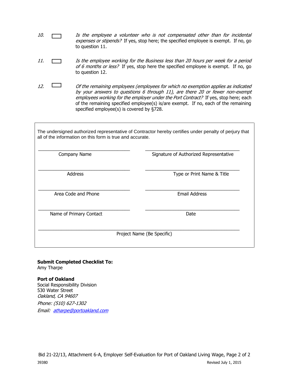- 10.  $\Box$  Is the employee a volunteer who is not compensated other than for incidental expenses or stipends? If yes, stop here; the specified employee is exempt. If no, go to question 11.
- 11. Is the employee working for the Business less than 20 hours per week for a period of 6 months or less? If yes, stop here the specified employee is exempt. If no, go to question 12.
- 12.  $\Box$  Of the remaining employees (employees for which no exemption applies as indicated by your answers to questions 6 through 11), are there 20 or fewer non-exempt employees working for the employer under the Port Contract? If yes, stop here; each of the remaining specified employee(s) is/are exempt. If no, each of the remaining specified employee(s) is covered by §728.

The undersigned authorized representative of Contractor hereby certifies under penalty of perjury that all of the information on this form is true and accurate.

| Company Name            | Signature of Authorized Representative |
|-------------------------|----------------------------------------|
| <b>Address</b>          | Type or Print Name & Title             |
| Area Code and Phone     | <b>Email Address</b>                   |
| Name of Primary Contact | Date                                   |
|                         | Project Name (Be Specific)             |

#### **Submit Completed Checklist To:** Amy Tharpe

**Port of Oakland**  Social Responsibility Division 530 Water Street Oakland, CA 94607 Phone: (510) 627-1302 Email: [atharpe@portoakland.com](mailto:cng-wong@portoakland.com)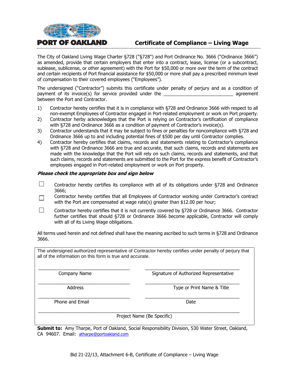

# **Certificate of Compliance – Living Wage**

The City of Oakland Living Wage Charter §728 ("§728") and Port Ordinance No. 3666 ("Ordinance 3666") as amended, provide that certain employers that enter into a contract, lease, license (or a subcontract, sublease, sublicense, or other agreement) with the Port for \$50,000 or more over the term of the contract and certain recipients of Port financial assistance for \$50,000 or more shall pay a prescribed minimum level of compensation to their covered employees ("Employees").

The undersigned ("Contractor") submits this certificate under penalty of perjury and as a condition of payment of its invoice(s) for service provided under the \_\_\_\_\_\_\_\_\_\_\_\_\_\_\_\_\_\_\_\_\_\_\_\_\_\_\_ agreement between the Port and Contractor.

- 1) Contractor hereby certifies that it is in compliance with §728 and Ordinance 3666 with respect to all non-exempt Employees of Contractor engaged in Port-related employment or work on Port property.
- 2) Contractor herby acknowledges that the Port is relying on Contractor's certification of compliance with §728 and Ordinance 3666 as a condition of payment of Contractor's invoice(s).
- 3) Contractor understands that it may be subject to fines or penalties for noncompliance with §728 and Ordinance 3666 up to and including potential fines of \$500 per day until Contractor complies.
- 4) Contractor hereby certifies that claims, records and statements relating to Contractor's compliance with §728 and Ordinance 3666 are true and accurate, that such claims, records and statements are made with the knowledge that the Port will rely on such claims, records and statements, and that such claims, records and statements are submitted to the Port for the express benefit of Contractor's employees engaged in Port-related employment or work on Port property.

#### **Please check the appropriate box and sign below**

- $\Box$ Contractor hereby certifies its compliance with all of its obligations under §728 and Ordinance 3666;
- Contractor hereby certifies that all Employees of Contractor working under Contractor's contract П with the Port are compensated at wage rate(s) greater than \$12.00 per hour;
- П Contractor hereby certifies that it is not currently covered by §728 or Ordinance 3666. Contractor further certifies that should §728 or Ordinance 3666 become applicable, Contractor will comply with all of its Living Wage obligations.

All terms used herein and not defined shall have the meaning ascribed to such terms in §728 and Ordinance 3666.

The undersigned authorized representative of Contractor hereby certifies under penalty of perjury that all of the information on this form is true and accurate.

\_\_\_\_\_\_\_\_\_\_\_\_\_\_\_\_\_\_\_\_\_\_\_\_\_\_\_\_\_\_\_\_\_\_\_\_ \_\_\_\_\_\_\_\_\_\_\_\_\_\_\_\_\_\_\_\_\_\_\_\_\_\_\_\_\_\_\_\_\_\_\_\_\_

\_\_\_\_\_\_\_\_\_\_\_\_\_\_\_\_\_\_\_\_\_\_\_\_\_\_\_\_\_\_\_\_\_\_\_\_ \_\_\_\_\_\_\_\_\_\_\_\_\_\_\_\_\_\_\_\_\_\_\_\_\_\_\_\_\_\_\_\_\_\_\_\_\_

\_\_\_\_\_\_\_\_\_\_\_\_\_\_\_\_\_\_\_\_\_\_\_\_\_\_\_\_\_\_\_\_\_\_\_\_ \_\_\_\_\_\_\_\_\_\_\_\_\_\_\_\_\_\_\_\_\_\_\_\_\_\_\_\_\_\_\_\_\_\_\_\_\_

\_\_\_\_\_\_\_\_\_\_\_\_\_\_\_\_\_\_\_\_\_\_\_\_\_\_\_\_\_\_\_\_\_\_\_\_\_\_\_\_\_\_\_\_\_\_\_\_\_\_\_\_\_\_\_\_\_\_\_\_\_\_\_\_\_\_\_\_\_\_\_\_\_\_\_\_\_\_\_

Company Name **Signature of Authorized Representative** 

Address **Address** Type or Print Name & Title

Phone and Email Date and Email Date Date and Email Date Date

Project Name (Be Specific)

**Submit to:** Amy Tharpe, Port of Oakland, Social Responsibility Division, 530 Water Street, Oakland, CA 94607. Email: [atharpe@portoakland.com](mailto:cng-wong@portoakland.com)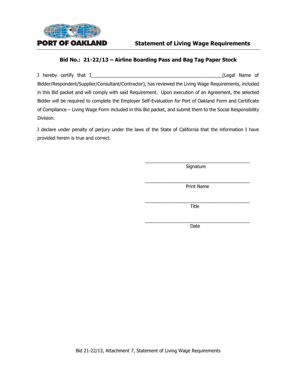

I hereby certify that I\_\_\_\_\_\_\_\_\_\_\_\_\_\_\_\_\_\_\_\_\_\_\_\_\_\_\_\_\_\_\_\_\_\_\_\_\_\_\_\_\_\_\_\_\_\_\_\_\_\_\_(Legal Name of Bidder/Respondent/Supplier/Consultant/Contractor), has reviewed the Living Wage Requirements, included in this Bid packet and will comply with said Requirement. Upon execution of an Agreement, the selected Bidder will be required to complete the Employer Self-Evaluation for Port of Oakland Form and Certificate of Compliance – Living Wage Form included in this Bid packet, and submit them to the Social Responsibility Division.

I declare under penalty of perjury under the laws of the State of California that the information I have provided herein is true and correct.

> \_\_\_\_\_\_\_\_\_\_\_\_\_\_\_\_\_\_\_\_\_\_\_\_\_\_\_\_\_\_\_\_\_\_\_\_\_\_\_\_\_ **Signature**

> \_\_\_\_\_\_\_\_\_\_\_\_\_\_\_\_\_\_\_\_\_\_\_\_\_\_\_\_\_\_\_\_\_\_\_\_\_\_\_\_\_ Print Name

> \_\_\_\_\_\_\_\_\_\_\_\_\_\_\_\_\_\_\_\_\_\_\_\_\_\_\_\_\_\_\_\_\_\_\_\_\_\_\_\_\_ Title

> \_\_\_\_\_\_\_\_\_\_\_\_\_\_\_\_\_\_\_\_\_\_\_\_\_\_\_\_\_\_\_\_\_\_\_\_\_\_\_\_\_ Date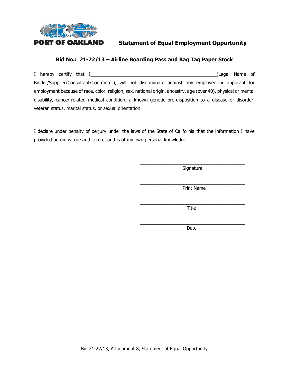

I hereby certify that I\_\_\_\_\_\_\_\_\_\_\_\_\_\_\_\_\_\_\_\_\_\_\_\_\_\_\_\_\_\_\_\_\_\_\_\_\_\_\_\_\_\_\_\_\_\_\_\_\_(Legal Name of Bidder/Supplier/Consultant/Contractor), will not discriminate against any employee or applicant for employment because of race, color, religion, sex, national origin, ancestry, age (over 40), physical or mental disability, cancer-related medical condition, a known genetic pre-disposition to a disease or disorder, veteran status, marital status, or sexual orientation.

I declare under penalty of perjury under the laws of the State of California that the information I have provided herein is true and correct and is of my own personal knowledge.

> \_\_\_\_\_\_\_\_\_\_\_\_\_\_\_\_\_\_\_\_\_\_\_\_\_\_\_\_\_\_\_\_\_\_\_\_\_\_\_\_\_ Signature

> \_\_\_\_\_\_\_\_\_\_\_\_\_\_\_\_\_\_\_\_\_\_\_\_\_\_\_\_\_\_\_\_\_\_\_\_\_\_\_\_\_ Print Name

> \_\_\_\_\_\_\_\_\_\_\_\_\_\_\_\_\_\_\_\_\_\_\_\_\_\_\_\_\_\_\_\_\_\_\_\_\_\_\_\_\_ Title

> \_\_\_\_\_\_\_\_\_\_\_\_\_\_\_\_\_\_\_\_\_\_\_\_\_\_\_\_\_\_\_\_\_\_\_\_\_\_\_\_\_ Date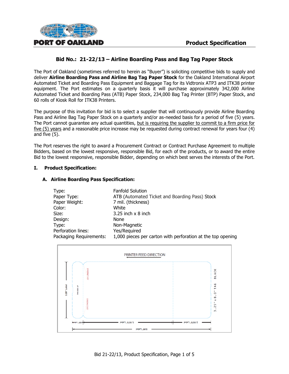

The Port of Oakland (sometimes referred to herein as "Buyer") is soliciting competitive bids to supply and deliver **Airline Boarding Pass and Airline Bag Tag Paper Stock** for the Oakland International Airport Automated Ticket and Boarding Pass Equipment and Baggage Tag for its Vidtronix ATP3 and ITK38 printer equipment. The Port estimates on a quarterly basis it will purchase approximately 342,000 Airline Automated Ticket and Boarding Pass (ATB) Paper Stock, 234,000 Bag Tag Printer (BTP) Paper Stock, and 60 rolls of Kiosk Roll for ITK38 Printers.

The purpose of this invitation for bid is to select a supplier that will continuously provide Airline Boarding Pass and Airline Bag Tag Paper Stock on a quarterly and/or as-needed basis for a period of five (5) years. The Port cannot guarantee any actual quantities, but is requiring the supplier to commit to a firm price for five (5) years and a reasonable price increase may be requested during contract renewal for years four (4) and five (5).

The Port reserves the right to award a Procurement Contract or Contract Purchase Agreement to multiple Bidders, based on the lowest responsive, responsible Bid, for each of the products, or to award the entire Bid to the lowest responsive, responsible Bidder, depending on which best serves the interests of the Port.

#### **I. Product Specification:**

#### **A. Airline Boarding Pass Specification:**

| Type:                   | <b>Fanfold Solution</b>                                     |
|-------------------------|-------------------------------------------------------------|
| Paper Type:             | ATB (Automated Ticket and Boarding Pass) Stock              |
| Paper Weight:           | 7 mil. (thickness)                                          |
| Color:                  | White                                                       |
| Size:                   | 3.25 inch $\times$ 8 inch                                   |
| Design:                 | None                                                        |
| Type:                   | Non-Magnetic                                                |
| Perforation lines:      | Yes/Required                                                |
| Packaging Requirements: | 1,000 pieces per carton with perforation at the top opening |

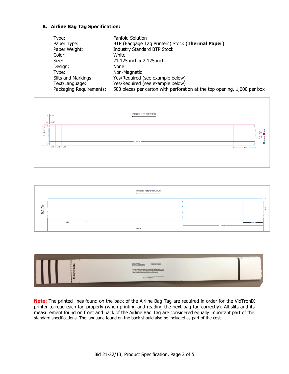#### **B. Airline Bag Tag Specification:**

| Type:                   | <b>Fanfold Solution</b>                                                  |
|-------------------------|--------------------------------------------------------------------------|
| Paper Type:             | BTP (Baggage Tag Printers) Stock (Thermal Paper)                         |
| Paper Weight:           | <b>Industry Standard BTP Stock</b>                                       |
| Color:                  | White                                                                    |
| Size:                   | 21.125 inch x 2.125 inch.                                                |
| Design:                 | <b>None</b>                                                              |
| Type:                   | Non-Magnetic                                                             |
| Slits and Markings:     | Yes/Required (see example below)                                         |
| Text/Language:          | Yes/Required (see example below)                                         |
| Packaging Requirements: | 500 pieces per carton with perforation at the top opening, 1,000 per box |







**Note:** The printed lines found on the back of the Airline Bag Tag are required in order for the VidTroniX printer to read each tag properly (when printing and reading the next bag tag correctly). All slits and its measurement found on front and back of the Airline Bag Tag are considered equally important part of the standard specifications. The language found on the back should also be included as part of the cost.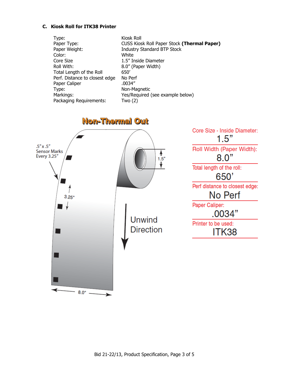#### **C. Kiosk Roll for ITK38 Printer**

| Type:                          | Kiosk Roll                                  |
|--------------------------------|---------------------------------------------|
| Paper Type:                    | CUSS Kiosk Roll Paper Stock (Thermal Paper) |
| Paper Weight:                  | <b>Industry Standard BTP Stock</b>          |
| Color:                         | White                                       |
| Core Size                      | 1.5" Inside Diameter                        |
| Roll With:                     | 8.0" (Paper Width)                          |
| Total Length of the Roll       | 650'                                        |
| Perf. Distance to closest edge | No Perf                                     |
| Paper Caliper                  | .0034″                                      |
| Type:                          | Non-Magnetic                                |
| Markings:                      | Yes/Required (see example below)            |
| Packaging Requirements:        | Two (2)                                     |

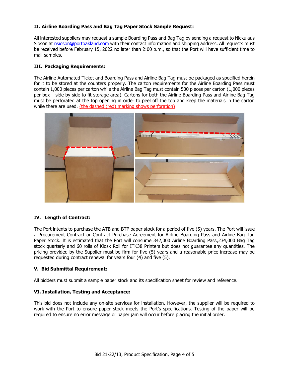#### **II. Airline Boarding Pass and Bag Tag Paper Stock Sample Request:**

All interested suppliers may request a sample Boarding Pass and Bag Tag by sending a request to Nickulaus Sioson at [nsioson@portoakland.com](mailto:nsioson@portoakland.com) with their contact information and shipping address. All requests must be received before February 15, 2022 no later than 2:00 p.m., so that the Port will have sufficient time to mail samples.

#### **III. Packaging Requirements:**

The Airline Automated Ticket and Boarding Pass and Airline Bag Tag must be packaged as specified herein for it to be stored at the counters properly. The carton requirements for the Airline Boarding Pass must contain 1,000 pieces per carton while the Airline Bag Tag must contain 500 pieces per carton (1,000 pieces per box – side by side to fit storage area). Cartons for both the Airline Boarding Pass and Airline Bag Tag must be perforated at the top opening in order to peel off the top and keep the materials in the carton while there are used. (the dashed (red) marking shows perforation)



#### **IV. Length of Contract:**

The Port intents to purchase the ATB and BTP paper stock for a period of five (5) years. The Port will issue a Procurement Contract or Contract Purchase Agreement for Airline Boarding Pass and Airline Bag Tag Paper Stock. It is estimated that the Port will consume 342,000 Airline Boarding Pass,234,000 Bag Tag stock quarterly and 60 rolls of Kiosk Roll for ITK38 Printers but does not guarantee any quantities. The pricing provided by the Supplier must be firm for five (5) years and a reasonable price increase may be requested during contract renewal for years four (4) and five (5).

#### **V. Bid Submittal Requirement:**

All bidders must submit a sample paper stock and its specification sheet for review and reference.

#### **VI. Installation, Testing and Acceptance:**

This bid does not include any on-site services for installation. However, the supplier will be required to work with the Port to ensure paper stock meets the Port's specifications. Testing of the paper will be required to ensure no error message or paper jam will occur before placing the initial order.